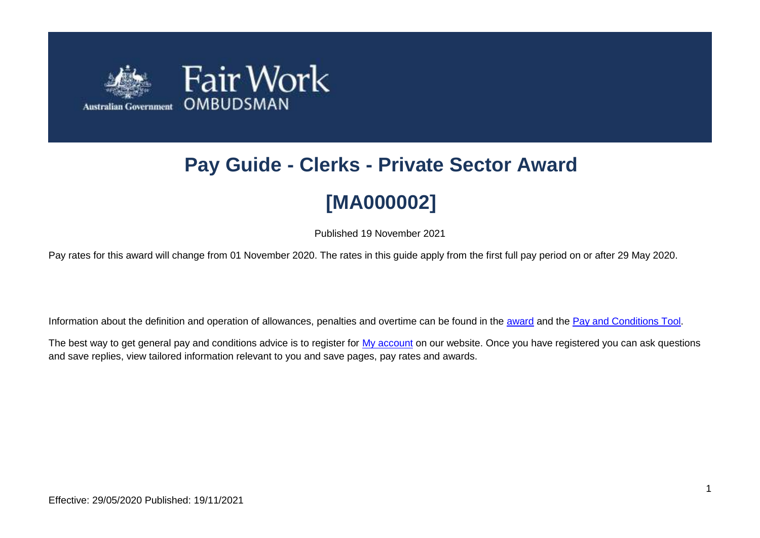

# **Pay Guide - Clerks - Private Sector Award [MA000002]**

Published 19 November 2021

Pay rates for this award will change from 01 November 2020. The rates in this guide apply from the first full pay period on or after 29 May 2020.

Information about the definition and operation of allowances, penalties and overtime can be found in the [award](https://www.fairwork.gov.au/awards-and-agreements/awards/list-of-awards) and the [Pay and Conditions Tool.](https://calculate.fairwork.gov.au/)

The best way to get general pay and conditions advice is to register for [My account](https://www.fairwork.gov.au/my-account/registerpage.aspx) on our website. Once you have registered you can ask questions and save replies, view tailored information relevant to you and save pages, pay rates and awards.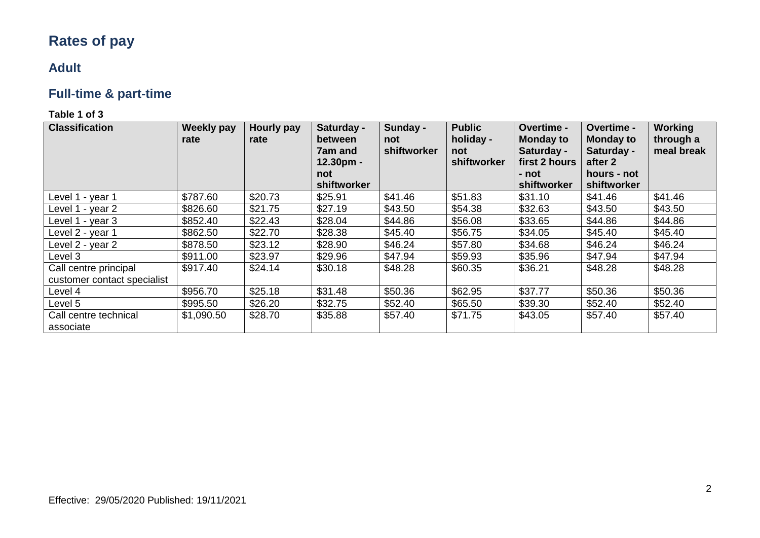# **Rates of pay**

## **Adult**

# **Full-time & part-time**

| <b>Classification</b>              | <b>Weekly pay</b><br>rate | <b>Hourly pay</b><br>rate | Saturday -<br>between<br>7am and<br>12.30pm -<br>not<br>shiftworker | Sunday -<br>not<br>shiftworker | <b>Public</b><br>holiday -<br>not<br>shiftworker | <b>Overtime -</b><br><b>Monday to</b><br>Saturday -<br>first 2 hours<br>- not<br>shiftworker | Overtime -<br><b>Monday to</b><br>Saturday -<br>after 2<br>hours - not<br>shiftworker | <b>Working</b><br>through a<br>meal break |
|------------------------------------|---------------------------|---------------------------|---------------------------------------------------------------------|--------------------------------|--------------------------------------------------|----------------------------------------------------------------------------------------------|---------------------------------------------------------------------------------------|-------------------------------------------|
| Level 1 - year 1                   | \$787.60                  | \$20.73                   | \$25.91                                                             | \$41.46                        | \$51.83                                          | \$31.10                                                                                      | \$41.46                                                                               | \$41.46                                   |
| Level 1 - year 2                   | \$826.60                  | \$21.75                   | \$27.19                                                             | \$43.50                        | \$54.38                                          | \$32.63                                                                                      | \$43.50                                                                               | \$43.50                                   |
| Level 1 - year 3                   | \$852.40                  | \$22.43                   | \$28.04                                                             | \$44.86                        | \$56.08                                          | \$33.65                                                                                      | \$44.86                                                                               | \$44.86                                   |
| Level 2 - year 1                   | \$862.50                  | \$22.70                   | \$28.38                                                             | \$45.40                        | \$56.75                                          | \$34.05                                                                                      | \$45.40                                                                               | \$45.40                                   |
| Level 2 - year 2                   | \$878.50                  | \$23.12                   | \$28.90                                                             | \$46.24                        | \$57.80                                          | \$34.68                                                                                      | \$46.24                                                                               | \$46.24                                   |
| Level 3                            | \$911.00                  | \$23.97                   | \$29.96                                                             | \$47.94                        | \$59.93                                          | \$35.96                                                                                      | \$47.94                                                                               | \$47.94                                   |
| Call centre principal              | \$917.40                  | \$24.14                   | \$30.18                                                             | \$48.28                        | \$60.35                                          | \$36.21                                                                                      | \$48.28                                                                               | \$48.28                                   |
| customer contact specialist        |                           |                           |                                                                     |                                |                                                  |                                                                                              |                                                                                       |                                           |
| Level 4                            | \$956.70                  | \$25.18                   | \$31.48                                                             | \$50.36                        | \$62.95                                          | \$37.77                                                                                      | \$50.36                                                                               | \$50.36                                   |
| Level 5                            | \$995.50                  | \$26.20                   | \$32.75                                                             | \$52.40                        | \$65.50                                          | \$39.30                                                                                      | \$52.40                                                                               | \$52.40                                   |
| Call centre technical<br>associate | \$1,090.50                | \$28.70                   | \$35.88                                                             | \$57.40                        | \$71.75                                          | \$43.05                                                                                      | \$57.40                                                                               | \$57.40                                   |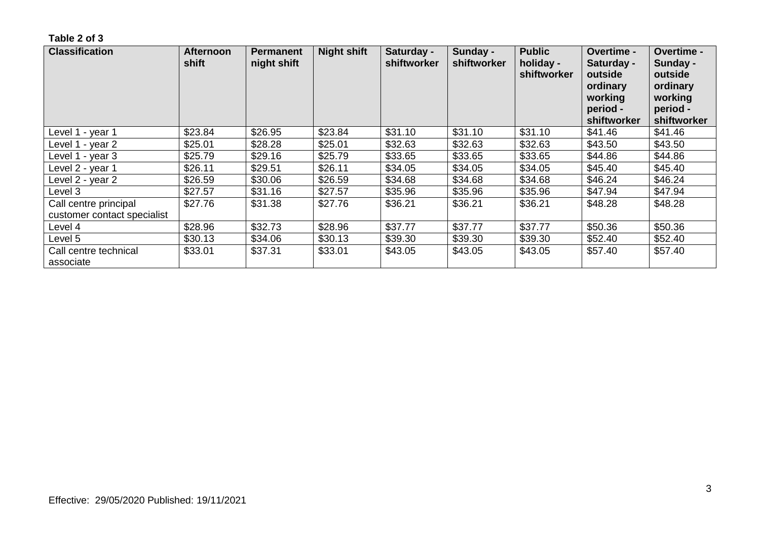| <b>Classification</b>                                | <b>Afternoon</b><br>shift | <b>Permanent</b><br>night shift | <b>Night shift</b> | Saturday -<br>shiftworker | Sunday -<br>shiftworker | <b>Public</b><br>holiday -<br>shiftworker | Overtime -<br>Saturday -<br>outside<br>ordinary<br>working<br>period -<br>shiftworker | Overtime -<br>Sunday -<br>outside<br>ordinary<br>working<br>period -<br>shiftworker |
|------------------------------------------------------|---------------------------|---------------------------------|--------------------|---------------------------|-------------------------|-------------------------------------------|---------------------------------------------------------------------------------------|-------------------------------------------------------------------------------------|
| Level 1 - year 1                                     | \$23.84                   | \$26.95                         | \$23.84            | \$31.10                   | \$31.10                 | \$31.10                                   | \$41.46                                                                               | \$41.46                                                                             |
| Level 1 - year 2                                     | \$25.01                   | \$28.28                         | \$25.01            | \$32.63                   | \$32.63                 | \$32.63                                   | \$43.50                                                                               | \$43.50                                                                             |
| Level 1 - year 3                                     | \$25.79                   | \$29.16                         | \$25.79            | \$33.65                   | \$33.65                 | \$33.65                                   | \$44.86                                                                               | \$44.86                                                                             |
| Level 2 - year 1                                     | \$26.11                   | \$29.51                         | \$26.11            | \$34.05                   | \$34.05                 | \$34.05                                   | \$45.40                                                                               | \$45.40                                                                             |
| Level 2 - year 2                                     | \$26.59                   | \$30.06                         | \$26.59            | \$34.68                   | \$34.68                 | \$34.68                                   | \$46.24                                                                               | \$46.24                                                                             |
| Level 3                                              | \$27.57                   | \$31.16                         | \$27.57            | \$35.96                   | \$35.96                 | \$35.96                                   | \$47.94                                                                               | \$47.94                                                                             |
| Call centre principal<br>customer contact specialist | \$27.76                   | \$31.38                         | \$27.76            | \$36.21                   | \$36.21                 | \$36.21                                   | \$48.28                                                                               | \$48.28                                                                             |
| Level 4                                              | \$28.96                   | \$32.73                         | \$28.96            | \$37.77                   | \$37.77                 | \$37.77                                   | \$50.36                                                                               | \$50.36                                                                             |
| Level 5                                              | \$30.13                   | \$34.06                         | \$30.13            | \$39.30                   | \$39.30                 | \$39.30                                   | \$52.40                                                                               | \$52.40                                                                             |
| Call centre technical<br>associate                   | \$33.01                   | \$37.31                         | \$33.01            | \$43.05                   | \$43.05                 | \$43.05                                   | \$57.40                                                                               | \$57.40                                                                             |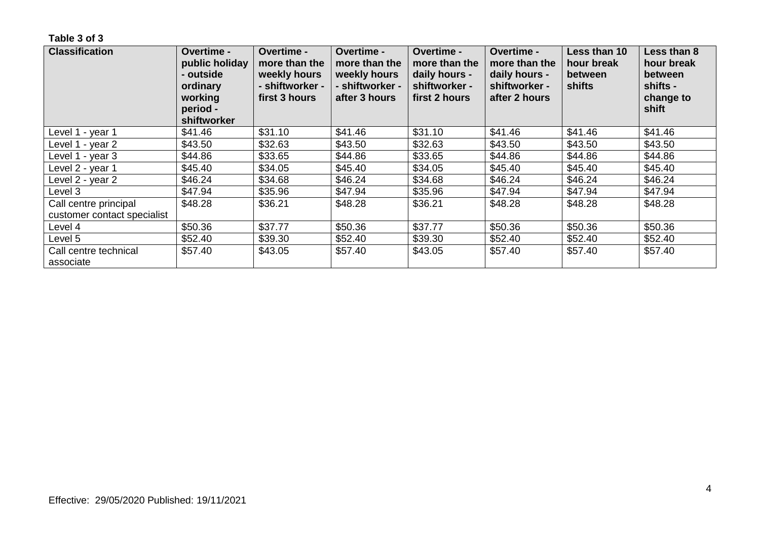| <b>Classification</b>                                | <b>Overtime -</b><br>public holiday<br>- outside<br>ordinary<br>working<br>period -<br>shiftworker | Overtime -<br>more than the<br>weekly hours<br>- shiftworker -<br>first 3 hours | Overtime -<br>more than the<br>weekly hours<br>- shiftworker -<br>after 3 hours | Overtime -<br>more than the<br>daily hours -<br>shiftworker -<br>first 2 hours | <b>Overtime -</b><br>more than the<br>daily hours -<br>shiftworker -<br>after 2 hours | Less than 10<br>hour break<br>between<br>shifts | Less than 8<br>hour break<br>between<br>shifts -<br>change to<br>shift |
|------------------------------------------------------|----------------------------------------------------------------------------------------------------|---------------------------------------------------------------------------------|---------------------------------------------------------------------------------|--------------------------------------------------------------------------------|---------------------------------------------------------------------------------------|-------------------------------------------------|------------------------------------------------------------------------|
| Level 1 - year 1                                     | \$41.46                                                                                            | \$31.10                                                                         | \$41.46                                                                         | \$31.10                                                                        | \$41.46                                                                               | \$41.46                                         | \$41.46                                                                |
| Level 1 - year 2                                     | \$43.50                                                                                            | \$32.63                                                                         | \$43.50                                                                         | \$32.63                                                                        | \$43.50                                                                               | \$43.50                                         | \$43.50                                                                |
| Level 1 - year 3                                     | \$44.86                                                                                            | \$33.65                                                                         | \$44.86                                                                         | \$33.65                                                                        | \$44.86                                                                               | \$44.86                                         | \$44.86                                                                |
| Level 2 - year 1                                     | \$45.40                                                                                            | \$34.05                                                                         | \$45.40                                                                         | \$34.05                                                                        | \$45.40                                                                               | \$45.40                                         | \$45.40                                                                |
| Level 2 - year 2                                     | \$46.24                                                                                            | \$34.68                                                                         | \$46.24                                                                         | \$34.68                                                                        | \$46.24                                                                               | \$46.24                                         | \$46.24                                                                |
| Level 3                                              | \$47.94                                                                                            | \$35.96                                                                         | \$47.94                                                                         | \$35.96                                                                        | \$47.94                                                                               | \$47.94                                         | \$47.94                                                                |
| Call centre principal<br>customer contact specialist | \$48.28                                                                                            | \$36.21                                                                         | \$48.28                                                                         | \$36.21                                                                        | \$48.28                                                                               | \$48.28                                         | \$48.28                                                                |
| Level 4                                              | \$50.36                                                                                            | \$37.77                                                                         | \$50.36                                                                         | \$37.77                                                                        | \$50.36                                                                               | \$50.36                                         | \$50.36                                                                |
| Level 5                                              | \$52.40                                                                                            | \$39.30                                                                         | \$52.40                                                                         | \$39.30                                                                        | \$52.40                                                                               | \$52.40                                         | \$52.40                                                                |
| Call centre technical<br>associate                   | \$57.40                                                                                            | \$43.05                                                                         | \$57.40                                                                         | \$43.05                                                                        | \$57.40                                                                               | \$57.40                                         | \$57.40                                                                |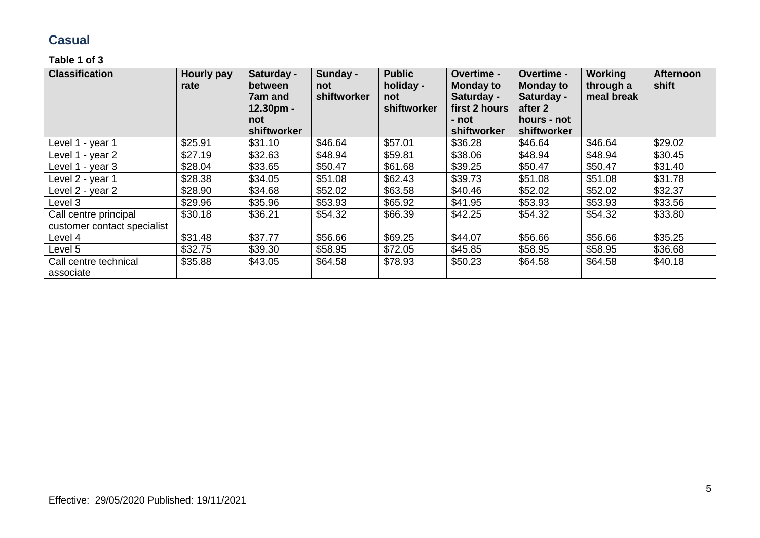### **Casual**

| <b>Classification</b>                                | Hourly pay<br>rate | Saturday -<br>between<br>7am and<br>12.30pm -<br>not<br>shiftworker | Sunday -<br>not<br><b>shiftworker</b> | <b>Public</b><br>holiday -<br>not<br>shiftworker | Overtime -<br><b>Monday to</b><br>Saturday -<br>first 2 hours<br>- not<br>shiftworker | Overtime -<br><b>Monday to</b><br>Saturday -<br>after 2<br>hours - not<br>shiftworker | <b>Working</b><br>through a<br>meal break | <b>Afternoon</b><br>shift |
|------------------------------------------------------|--------------------|---------------------------------------------------------------------|---------------------------------------|--------------------------------------------------|---------------------------------------------------------------------------------------|---------------------------------------------------------------------------------------|-------------------------------------------|---------------------------|
| Level 1 - year 1                                     | \$25.91            | \$31.10                                                             | \$46.64                               | \$57.01                                          | \$36.28                                                                               | \$46.64                                                                               | \$46.64                                   | \$29.02                   |
| Level 1 - year 2                                     | \$27.19            | \$32.63                                                             | \$48.94                               | \$59.81                                          | \$38.06                                                                               | \$48.94                                                                               | \$48.94                                   | \$30.45                   |
| Level 1 - year 3                                     | \$28.04            | \$33.65                                                             | \$50.47                               | \$61.68                                          | \$39.25                                                                               | \$50.47                                                                               | \$50.47                                   | \$31.40                   |
| Level 2 - year 1                                     | \$28.38            | \$34.05                                                             | \$51.08                               | \$62.43                                          | \$39.73                                                                               | \$51.08                                                                               | \$51.08                                   | \$31.78                   |
| Level 2 - year 2                                     | \$28.90            | \$34.68                                                             | \$52.02                               | \$63.58                                          | \$40.46                                                                               | \$52.02                                                                               | \$52.02                                   | \$32.37                   |
| Level 3                                              | \$29.96            | \$35.96                                                             | \$53.93                               | \$65.92                                          | \$41.95                                                                               | \$53.93                                                                               | \$53.93                                   | \$33.56                   |
| Call centre principal<br>customer contact specialist | \$30.18            | \$36.21                                                             | \$54.32                               | \$66.39                                          | \$42.25                                                                               | \$54.32                                                                               | \$54.32                                   | \$33.80                   |
| Level 4                                              | \$31.48            | \$37.77                                                             | \$56.66                               | \$69.25                                          | \$44.07                                                                               | \$56.66                                                                               | \$56.66                                   | \$35.25                   |
| Level 5                                              | \$32.75            | \$39.30                                                             | \$58.95                               | \$72.05                                          | \$45.85                                                                               | \$58.95                                                                               | \$58.95                                   | \$36.68                   |
| Call centre technical<br>associate                   | \$35.88            | \$43.05                                                             | \$64.58                               | \$78.93                                          | \$50.23                                                                               | \$64.58                                                                               | \$64.58                                   | \$40.18                   |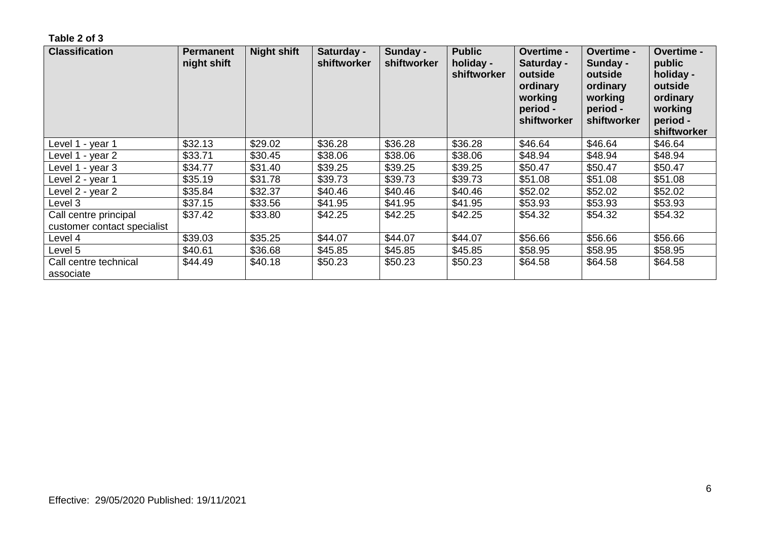| <b>Classification</b>                                | <b>Permanent</b><br>night shift | <b>Night shift</b> | Saturday -<br>shiftworker | Sunday -<br>shiftworker | <b>Public</b><br>holiday -<br>shiftworker | <b>Overtime -</b><br>Saturday -<br>outside<br>ordinary<br>working<br>period -<br>shiftworker | <b>Overtime -</b><br>Sunday -<br>outside<br>ordinary<br>working<br>period -<br>shiftworker | <b>Overtime -</b><br>public<br>holiday -<br>outside<br>ordinary<br>working<br>period -<br>shiftworker |
|------------------------------------------------------|---------------------------------|--------------------|---------------------------|-------------------------|-------------------------------------------|----------------------------------------------------------------------------------------------|--------------------------------------------------------------------------------------------|-------------------------------------------------------------------------------------------------------|
| Level 1 - year 1                                     | \$32.13                         | \$29.02            | \$36.28                   | \$36.28                 | \$36.28                                   | \$46.64                                                                                      | \$46.64                                                                                    | \$46.64                                                                                               |
| Level 1 - year 2                                     | \$33.71                         | \$30.45            | \$38.06                   | \$38.06                 | \$38.06                                   | \$48.94                                                                                      | \$48.94                                                                                    | \$48.94                                                                                               |
| Level 1 - year 3                                     | \$34.77                         | \$31.40            | \$39.25                   | \$39.25                 | \$39.25                                   | \$50.47                                                                                      | \$50.47                                                                                    | \$50.47                                                                                               |
| Level 2 - year 1                                     | \$35.19                         | \$31.78            | \$39.73                   | \$39.73                 | \$39.73                                   | \$51.08                                                                                      | \$51.08                                                                                    | \$51.08                                                                                               |
| Level 2 - year 2                                     | \$35.84                         | \$32.37            | \$40.46                   | \$40.46                 | \$40.46                                   | \$52.02                                                                                      | \$52.02                                                                                    | \$52.02                                                                                               |
| Level 3                                              | \$37.15                         | \$33.56            | \$41.95                   | \$41.95                 | \$41.95                                   | \$53.93                                                                                      | \$53.93                                                                                    | \$53.93                                                                                               |
| Call centre principal<br>customer contact specialist | \$37.42                         | \$33.80            | \$42.25                   | \$42.25                 | \$42.25                                   | \$54.32                                                                                      | \$54.32                                                                                    | \$54.32                                                                                               |
| Level 4                                              | \$39.03                         | \$35.25            | \$44.07                   | \$44.07                 | \$44.07                                   | \$56.66                                                                                      | \$56.66                                                                                    | \$56.66                                                                                               |
| Level 5                                              | \$40.61                         | \$36.68            | \$45.85                   | \$45.85                 | \$45.85                                   | \$58.95                                                                                      | \$58.95                                                                                    | \$58.95                                                                                               |
| Call centre technical<br>associate                   | \$44.49                         | \$40.18            | \$50.23                   | \$50.23                 | \$50.23                                   | \$64.58                                                                                      | \$64.58                                                                                    | \$64.58                                                                                               |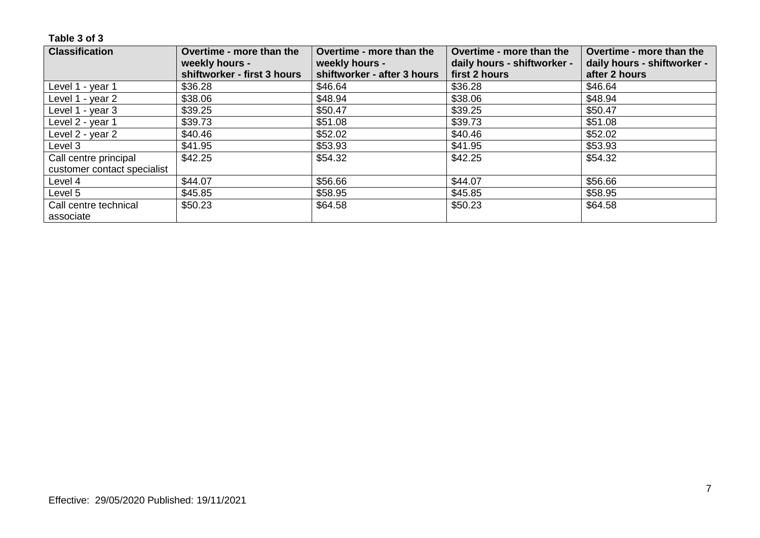| <b>Classification</b>       | Overtime - more than the    | Overtime - more than the    | Overtime - more than the    | Overtime - more than the    |
|-----------------------------|-----------------------------|-----------------------------|-----------------------------|-----------------------------|
|                             | weekly hours -              | weekly hours -              | daily hours - shiftworker - | daily hours - shiftworker - |
|                             | shiftworker - first 3 hours | shiftworker - after 3 hours | first 2 hours               | after 2 hours               |
| Level 1 - year 1            | \$36.28                     | \$46.64                     | \$36.28                     | \$46.64                     |
| Level 1 - year 2            | \$38.06                     | \$48.94                     | \$38.06                     | \$48.94                     |
| Level 1 - year 3            | \$39.25                     | \$50.47                     | \$39.25                     | \$50.47                     |
| Level 2 - year 1            | \$39.73                     | \$51.08                     | \$39.73                     | \$51.08                     |
| Level 2 - year 2            | \$40.46                     | \$52.02                     | \$40.46                     | \$52.02                     |
| Level 3                     | \$41.95                     | \$53.93                     | \$41.95                     | \$53.93                     |
| Call centre principal       | \$42.25                     | \$54.32                     | \$42.25                     | \$54.32                     |
| customer contact specialist |                             |                             |                             |                             |
| Level 4                     | \$44.07                     | \$56.66                     | \$44.07                     | \$56.66                     |
| Level 5                     | \$45.85                     | \$58.95                     | \$45.85                     | \$58.95                     |
| Call centre technical       | \$50.23                     | \$64.58                     | \$50.23                     | \$64.58                     |
| associate                   |                             |                             |                             |                             |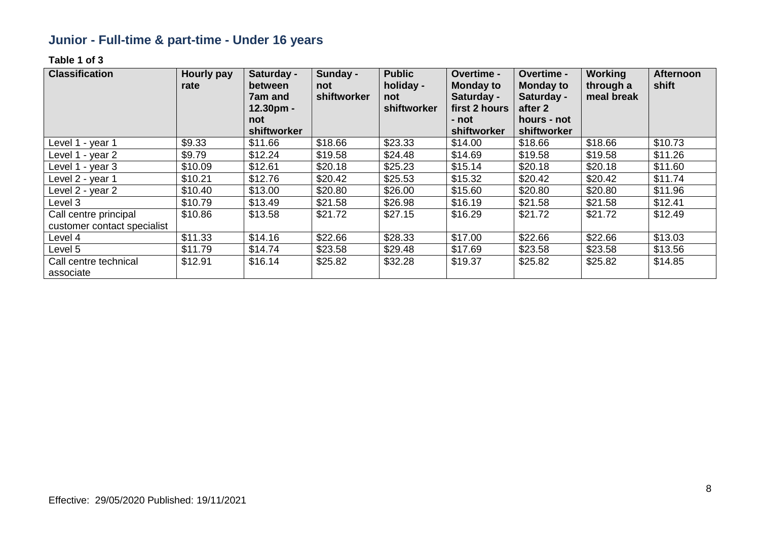# **Junior - Full-time & part-time - Under 16 years**

| <b>Classification</b>                                | <b>Hourly pay</b><br>rate | Saturday -<br>between<br><b>7am and</b><br>$12.30pm -$<br>not | Sunday -<br>not<br>shiftworker | <b>Public</b><br>holiday -<br>not<br>shiftworker | Overtime -<br><b>Monday to</b><br>Saturday -<br>first 2 hours<br>- not | Overtime -<br><b>Monday to</b><br>Saturday -<br>after 2<br>hours - not | <b>Working</b><br>through a<br>meal break | <b>Afternoon</b><br>shift |
|------------------------------------------------------|---------------------------|---------------------------------------------------------------|--------------------------------|--------------------------------------------------|------------------------------------------------------------------------|------------------------------------------------------------------------|-------------------------------------------|---------------------------|
|                                                      |                           | shiftworker                                                   |                                |                                                  | shiftworker                                                            | shiftworker                                                            |                                           |                           |
| Level 1 - year 1                                     | \$9.33                    | \$11.66                                                       | \$18.66                        | \$23.33                                          | \$14.00                                                                | \$18.66                                                                | \$18.66                                   | \$10.73                   |
| Level 1 - year 2                                     | \$9.79                    | \$12.24                                                       | \$19.58                        | \$24.48                                          | \$14.69                                                                | \$19.58                                                                | \$19.58                                   | \$11.26                   |
| Level 1 - year 3                                     | \$10.09                   | \$12.61                                                       | \$20.18                        | \$25.23                                          | \$15.14                                                                | \$20.18                                                                | \$20.18                                   | \$11.60                   |
| Level 2 - year 1                                     | \$10.21                   | \$12.76                                                       | \$20.42                        | \$25.53                                          | \$15.32                                                                | \$20.42                                                                | \$20.42                                   | \$11.74                   |
| Level 2 - year 2                                     | \$10.40                   | \$13.00                                                       | \$20.80                        | \$26.00                                          | \$15.60                                                                | \$20.80                                                                | \$20.80                                   | \$11.96                   |
| Level 3                                              | \$10.79                   | \$13.49                                                       | \$21.58                        | \$26.98                                          | \$16.19                                                                | \$21.58                                                                | \$21.58                                   | \$12.41                   |
| Call centre principal<br>customer contact specialist | \$10.86                   | \$13.58                                                       | \$21.72                        | \$27.15                                          | \$16.29                                                                | \$21.72                                                                | \$21.72                                   | \$12.49                   |
| Level 4                                              | \$11.33                   | \$14.16                                                       | \$22.66                        | \$28.33                                          | \$17.00                                                                | \$22.66                                                                | \$22.66                                   | \$13.03                   |
| Level 5                                              | \$11.79                   | \$14.74                                                       | \$23.58                        | \$29.48                                          | \$17.69                                                                | \$23.58                                                                | \$23.58                                   | \$13.56                   |
| Call centre technical<br>associate                   | \$12.91                   | \$16.14                                                       | \$25.82                        | \$32.28                                          | \$19.37                                                                | \$25.82                                                                | \$25.82                                   | \$14.85                   |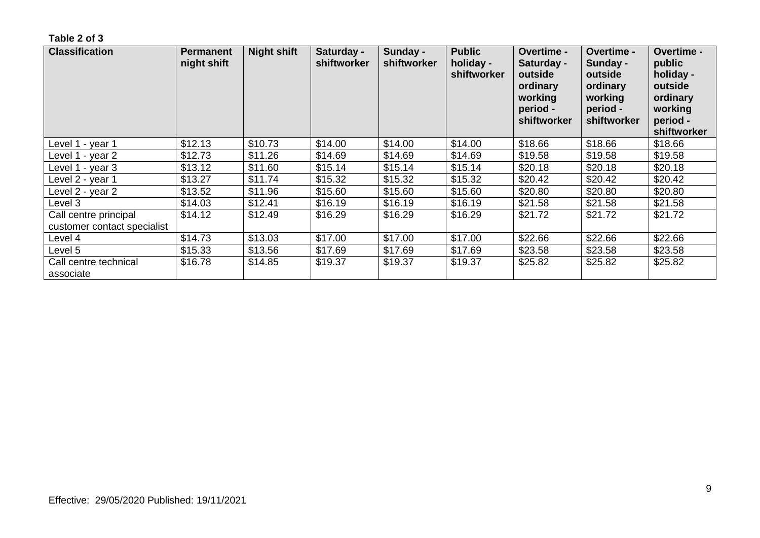| <b>Classification</b>                                | <b>Permanent</b><br>night shift | <b>Night shift</b> | Saturday -<br>shiftworker | Sunday -<br>shiftworker | <b>Public</b><br>holiday -<br>shiftworker | <b>Overtime -</b><br>Saturday -<br>outside<br>ordinary<br>working<br>period -<br>shiftworker | <b>Overtime -</b><br>Sunday -<br>outside<br>ordinary<br>working<br>period -<br>shiftworker | <b>Overtime -</b><br>public<br>holiday -<br>outside<br>ordinary<br>working<br>period -<br>shiftworker |
|------------------------------------------------------|---------------------------------|--------------------|---------------------------|-------------------------|-------------------------------------------|----------------------------------------------------------------------------------------------|--------------------------------------------------------------------------------------------|-------------------------------------------------------------------------------------------------------|
| Level 1 - year 1                                     | \$12.13                         | \$10.73            | \$14.00                   | \$14.00                 | \$14.00                                   | \$18.66                                                                                      | \$18.66                                                                                    | \$18.66                                                                                               |
| Level 1 - year 2                                     | \$12.73                         | \$11.26            | \$14.69                   | \$14.69                 | \$14.69                                   | \$19.58                                                                                      | \$19.58                                                                                    | \$19.58                                                                                               |
| Level 1 - year 3                                     | \$13.12                         | \$11.60            | \$15.14                   | \$15.14                 | \$15.14                                   | \$20.18                                                                                      | \$20.18                                                                                    | \$20.18                                                                                               |
| Level 2 - year 1                                     | \$13.27                         | \$11.74            | \$15.32                   | \$15.32                 | \$15.32                                   | \$20.42                                                                                      | \$20.42                                                                                    | \$20.42                                                                                               |
| Level 2 - year 2                                     | \$13.52                         | \$11.96            | \$15.60                   | \$15.60                 | \$15.60                                   | \$20.80                                                                                      | \$20.80                                                                                    | \$20.80                                                                                               |
| Level 3                                              | \$14.03                         | \$12.41            | \$16.19                   | \$16.19                 | \$16.19                                   | \$21.58                                                                                      | \$21.58                                                                                    | \$21.58                                                                                               |
| Call centre principal<br>customer contact specialist | \$14.12                         | \$12.49            | \$16.29                   | \$16.29                 | \$16.29                                   | \$21.72                                                                                      | \$21.72                                                                                    | \$21.72                                                                                               |
| Level 4                                              | \$14.73                         | \$13.03            | \$17.00                   | \$17.00                 | \$17.00                                   | \$22.66                                                                                      | \$22.66                                                                                    | \$22.66                                                                                               |
| Level 5                                              | \$15.33                         | \$13.56            | \$17.69                   | \$17.69                 | \$17.69                                   | \$23.58                                                                                      | \$23.58                                                                                    | \$23.58                                                                                               |
| Call centre technical<br>associate                   | \$16.78                         | \$14.85            | \$19.37                   | \$19.37                 | \$19.37                                   | \$25.82                                                                                      | \$25.82                                                                                    | \$25.82                                                                                               |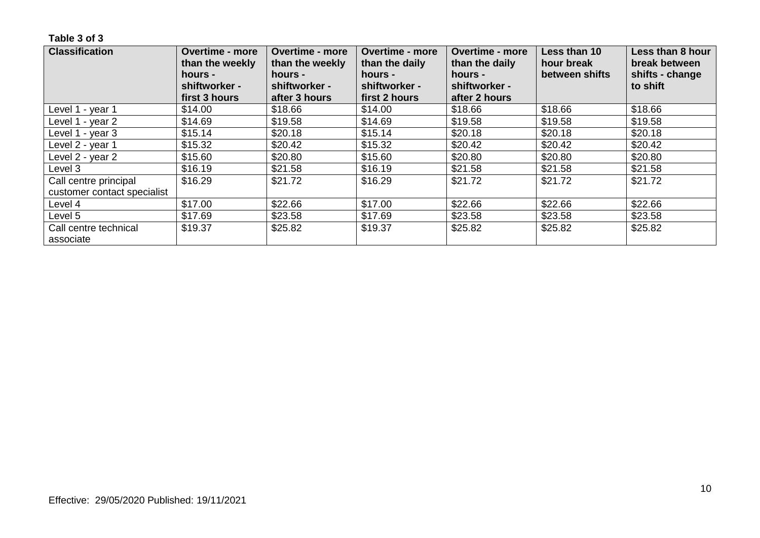| <b>Classification</b>              | <b>Overtime - more</b><br>than the weekly<br>hours - | <b>Overtime - more</b><br>than the weekly<br>hours - | <b>Overtime - more</b><br>than the daily<br>hours - | <b>Overtime - more</b><br>than the daily<br>hours - | Less than 10<br>hour break<br>between shifts | Less than 8 hour<br>break between<br>shifts - change |
|------------------------------------|------------------------------------------------------|------------------------------------------------------|-----------------------------------------------------|-----------------------------------------------------|----------------------------------------------|------------------------------------------------------|
|                                    | shiftworker -<br>first 3 hours                       | shiftworker -<br>after 3 hours                       | shiftworker -<br>first 2 hours                      | shiftworker -<br>after 2 hours                      |                                              | to shift                                             |
| Level 1 - year 1                   | \$14.00                                              | \$18.66                                              | \$14.00                                             | \$18.66                                             | \$18.66                                      | \$18.66                                              |
| Level 1 - year 2                   | \$14.69                                              | \$19.58                                              | \$14.69                                             | \$19.58                                             | \$19.58                                      | \$19.58                                              |
| Level 1 - year 3                   | \$15.14                                              | \$20.18                                              | \$15.14                                             | \$20.18                                             | \$20.18                                      | \$20.18                                              |
| Level 2 - year 1                   | \$15.32                                              | \$20.42                                              | \$15.32                                             | \$20.42                                             | \$20.42                                      | \$20.42                                              |
| Level 2 - year 2                   | \$15.60                                              | \$20.80                                              | \$15.60                                             | \$20.80                                             | \$20.80                                      | \$20.80                                              |
| Level 3                            | \$16.19                                              | \$21.58                                              | \$16.19                                             | \$21.58                                             | \$21.58                                      | \$21.58                                              |
| Call centre principal              | \$16.29                                              | \$21.72                                              | \$16.29                                             | \$21.72                                             | \$21.72                                      | \$21.72                                              |
| customer contact specialist        |                                                      |                                                      |                                                     |                                                     |                                              |                                                      |
| Level 4                            | \$17.00                                              | \$22.66                                              | \$17.00                                             | \$22.66                                             | \$22.66                                      | \$22.66                                              |
| Level 5                            | \$17.69                                              | \$23.58                                              | \$17.69                                             | \$23.58                                             | \$23.58                                      | \$23.58                                              |
| Call centre technical<br>associate | \$19.37                                              | \$25.82                                              | \$19.37                                             | \$25.82                                             | \$25.82                                      | \$25.82                                              |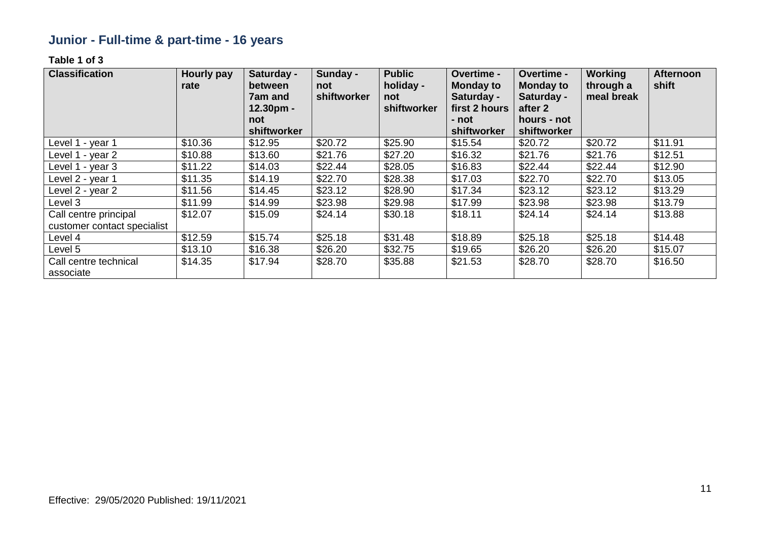# **Junior - Full-time & part-time - 16 years**

| <b>Classification</b>                                | <b>Hourly pay</b><br>rate | Saturday -<br>between<br><b>7am and</b><br>12.30pm -<br>not<br>shiftworker | Sunday -<br>not<br>shiftworker | <b>Public</b><br>holiday -<br>not<br>shiftworker | Overtime -<br><b>Monday to</b><br>Saturday -<br>first 2 hours<br>- not<br>shiftworker | Overtime -<br><b>Monday to</b><br>Saturday -<br>after 2<br>hours - not<br>shiftworker | <b>Working</b><br>through a<br>meal break | <b>Afternoon</b><br>shift |
|------------------------------------------------------|---------------------------|----------------------------------------------------------------------------|--------------------------------|--------------------------------------------------|---------------------------------------------------------------------------------------|---------------------------------------------------------------------------------------|-------------------------------------------|---------------------------|
| Level 1 - year 1                                     | \$10.36                   | \$12.95                                                                    | \$20.72                        | \$25.90                                          | \$15.54                                                                               | \$20.72                                                                               | \$20.72                                   | \$11.91                   |
| Level 1 - year 2                                     | \$10.88                   | \$13.60                                                                    | \$21.76                        | \$27.20                                          | \$16.32                                                                               | \$21.76                                                                               | \$21.76                                   | \$12.51                   |
| Level 1 - year 3                                     | \$11.22                   | \$14.03                                                                    | \$22.44                        | \$28.05                                          | \$16.83                                                                               | \$22.44                                                                               | \$22.44                                   | \$12.90                   |
| Level 2 - year 1                                     | \$11.35                   | \$14.19                                                                    | \$22.70                        | \$28.38                                          | \$17.03                                                                               | \$22.70                                                                               | \$22.70                                   | \$13.05                   |
| Level 2 - year 2                                     | \$11.56                   | \$14.45                                                                    | \$23.12                        | \$28.90                                          | \$17.34                                                                               | \$23.12                                                                               | \$23.12                                   | \$13.29                   |
| Level 3                                              | \$11.99                   | \$14.99                                                                    | \$23.98                        | \$29.98                                          | \$17.99                                                                               | \$23.98                                                                               | \$23.98                                   | \$13.79                   |
| Call centre principal<br>customer contact specialist | \$12.07                   | \$15.09                                                                    | \$24.14                        | \$30.18                                          | \$18.11                                                                               | \$24.14                                                                               | \$24.14                                   | \$13.88                   |
| Level 4                                              | \$12.59                   | \$15.74                                                                    | \$25.18                        | \$31.48                                          | \$18.89                                                                               | \$25.18                                                                               | \$25.18                                   | \$14.48                   |
| Level 5                                              | \$13.10                   | \$16.38                                                                    | \$26.20                        | \$32.75                                          | \$19.65                                                                               | \$26.20                                                                               | \$26.20                                   | \$15.07                   |
| Call centre technical<br>associate                   | \$14.35                   | \$17.94                                                                    | \$28.70                        | \$35.88                                          | \$21.53                                                                               | \$28.70                                                                               | \$28.70                                   | \$16.50                   |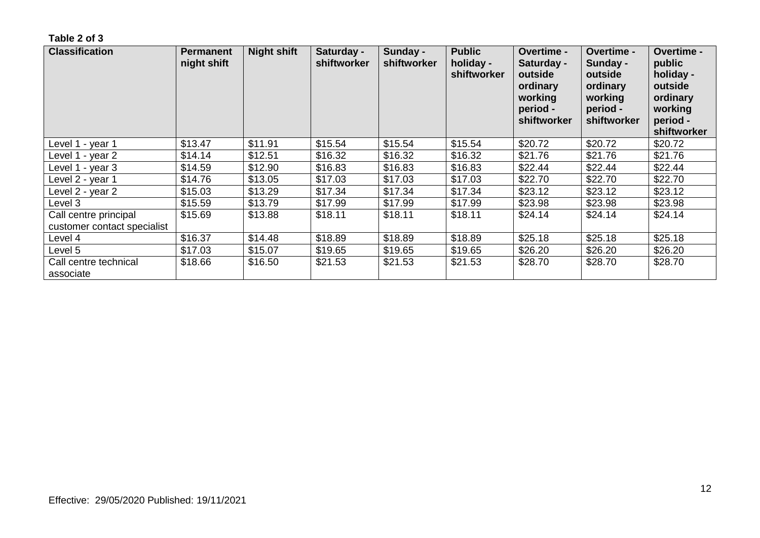| <b>Classification</b>                                | <b>Permanent</b><br>night shift | <b>Night shift</b> | Saturday -<br>shiftworker | Sunday -<br>shiftworker | <b>Public</b><br>holiday -<br>shiftworker | <b>Overtime -</b><br>Saturday -<br>outside<br>ordinary<br>working<br>period -<br>shiftworker | <b>Overtime -</b><br>Sunday -<br>outside<br>ordinary<br>working<br>period -<br>shiftworker | <b>Overtime -</b><br>public<br>holiday -<br>outside<br>ordinary<br>working<br>period -<br>shiftworker |
|------------------------------------------------------|---------------------------------|--------------------|---------------------------|-------------------------|-------------------------------------------|----------------------------------------------------------------------------------------------|--------------------------------------------------------------------------------------------|-------------------------------------------------------------------------------------------------------|
| Level 1 - year 1                                     | \$13.47                         | \$11.91            | \$15.54                   | \$15.54                 | \$15.54                                   | \$20.72                                                                                      | \$20.72                                                                                    | \$20.72                                                                                               |
| Level 1 - year 2                                     | \$14.14                         | \$12.51            | \$16.32                   | \$16.32                 | \$16.32                                   | \$21.76                                                                                      | \$21.76                                                                                    | \$21.76                                                                                               |
| Level 1 - year 3                                     | \$14.59                         | \$12.90            | \$16.83                   | \$16.83                 | \$16.83                                   | \$22.44                                                                                      | \$22.44                                                                                    | \$22.44                                                                                               |
| Level 2 - year 1                                     | \$14.76                         | \$13.05            | \$17.03                   | \$17.03                 | \$17.03                                   | \$22.70                                                                                      | \$22.70                                                                                    | \$22.70                                                                                               |
| Level 2 - year 2                                     | \$15.03                         | \$13.29            | \$17.34                   | \$17.34                 | \$17.34                                   | \$23.12                                                                                      | \$23.12                                                                                    | \$23.12                                                                                               |
| Level 3                                              | \$15.59                         | \$13.79            | \$17.99                   | \$17.99                 | \$17.99                                   | \$23.98                                                                                      | \$23.98                                                                                    | \$23.98                                                                                               |
| Call centre principal<br>customer contact specialist | \$15.69                         | \$13.88            | \$18.11                   | \$18.11                 | \$18.11                                   | \$24.14                                                                                      | \$24.14                                                                                    | \$24.14                                                                                               |
| Level 4                                              | \$16.37                         | \$14.48            | \$18.89                   | \$18.89                 | \$18.89                                   | \$25.18                                                                                      | \$25.18                                                                                    | \$25.18                                                                                               |
| Level 5                                              | \$17.03                         | \$15.07            | \$19.65                   | \$19.65                 | \$19.65                                   | \$26.20                                                                                      | \$26.20                                                                                    | \$26.20                                                                                               |
| Call centre technical<br>associate                   | \$18.66                         | \$16.50            | \$21.53                   | \$21.53                 | \$21.53                                   | \$28.70                                                                                      | \$28.70                                                                                    | \$28.70                                                                                               |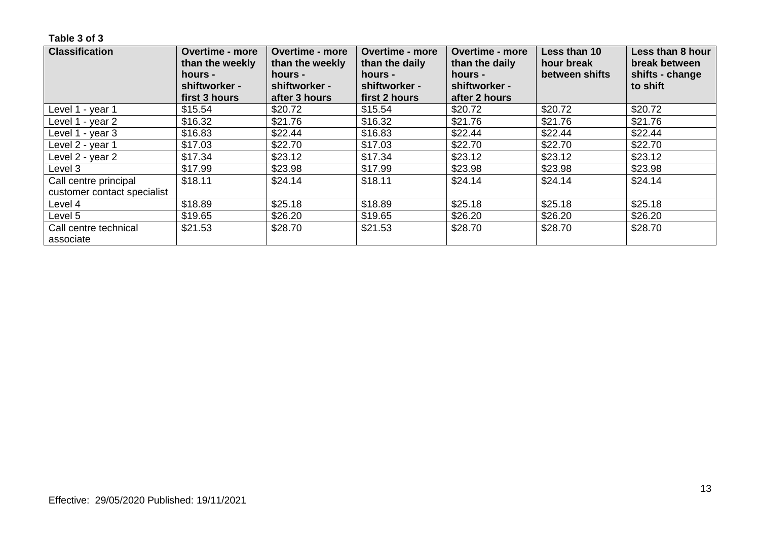| <b>Classification</b>              | <b>Overtime - more</b><br>than the weekly | <b>Overtime - more</b><br>than the weekly | <b>Overtime - more</b><br>than the daily | <b>Overtime - more</b><br>than the daily | Less than 10<br>hour break | Less than 8 hour<br>break between |
|------------------------------------|-------------------------------------------|-------------------------------------------|------------------------------------------|------------------------------------------|----------------------------|-----------------------------------|
|                                    | hours -<br>shiftworker -                  | hours -<br>shiftworker -                  | hours -<br>shiftworker -                 | hours -<br>shiftworker -                 | between shifts             | shifts - change<br>to shift       |
|                                    | first 3 hours                             | after 3 hours                             | first 2 hours                            | after 2 hours                            |                            |                                   |
| Level 1 - year 1                   | \$15.54                                   | \$20.72                                   | \$15.54                                  | \$20.72                                  | \$20.72                    | \$20.72                           |
| Level 1 - year 2                   | \$16.32                                   | \$21.76                                   | \$16.32                                  | \$21.76                                  | \$21.76                    | \$21.76                           |
| Level 1 - year 3                   | \$16.83                                   | \$22.44                                   | \$16.83                                  | \$22.44                                  | \$22.44                    | \$22.44                           |
| Level 2 - year 1                   | \$17.03                                   | \$22.70                                   | \$17.03                                  | \$22.70                                  | \$22.70                    | \$22.70                           |
| Level 2 - year 2                   | \$17.34                                   | \$23.12                                   | \$17.34                                  | \$23.12                                  | \$23.12                    | \$23.12                           |
| Level 3                            | \$17.99                                   | \$23.98                                   | \$17.99                                  | \$23.98                                  | \$23.98                    | \$23.98                           |
| Call centre principal              | \$18.11                                   | \$24.14                                   | \$18.11                                  | \$24.14                                  | \$24.14                    | \$24.14                           |
| customer contact specialist        |                                           |                                           |                                          |                                          |                            |                                   |
| Level 4                            | \$18.89                                   | \$25.18                                   | \$18.89                                  | \$25.18                                  | \$25.18                    | \$25.18                           |
| Level 5                            | \$19.65                                   | \$26.20                                   | \$19.65                                  | \$26.20                                  | \$26.20                    | \$26.20                           |
| Call centre technical<br>associate | \$21.53                                   | \$28.70                                   | \$21.53                                  | \$28.70                                  | \$28.70                    | \$28.70                           |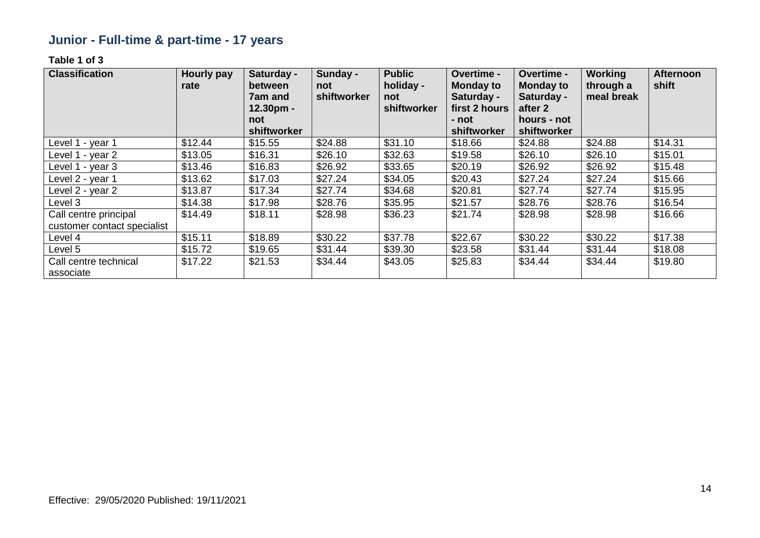# **Junior - Full-time & part-time - 17 years**

| <b>Classification</b>              | <b>Hourly pay</b><br>rate | Saturday -<br>between<br>7am and<br>$12.30pm -$ | Sunday -<br>not<br>shiftworker | <b>Public</b><br>holiday -<br>not<br>shiftworker | Overtime -<br><b>Monday to</b><br>Saturday -<br>first 2 hours | Overtime -<br><b>Monday to</b><br>Saturday -<br>after 2 | <b>Working</b><br>through a<br>meal break | <b>Afternoon</b><br>shift |
|------------------------------------|---------------------------|-------------------------------------------------|--------------------------------|--------------------------------------------------|---------------------------------------------------------------|---------------------------------------------------------|-------------------------------------------|---------------------------|
|                                    |                           | not                                             |                                |                                                  | - not                                                         | hours - not                                             |                                           |                           |
|                                    |                           | shiftworker                                     |                                |                                                  | shiftworker                                                   | shiftworker                                             |                                           |                           |
| Level 1 - year 1                   | \$12.44                   | \$15.55                                         | \$24.88                        | \$31.10                                          | \$18.66                                                       | \$24.88                                                 | \$24.88                                   | \$14.31                   |
| Level 1 - year 2                   | \$13.05                   | \$16.31                                         | \$26.10                        | \$32.63                                          | \$19.58                                                       | \$26.10                                                 | \$26.10                                   | \$15.01                   |
| Level 1 - year 3                   | \$13.46                   | \$16.83                                         | \$26.92                        | \$33.65                                          | \$20.19                                                       | \$26.92                                                 | \$26.92                                   | \$15.48                   |
| Level 2 - year 1                   | \$13.62                   | \$17.03                                         | \$27.24                        | \$34.05                                          | \$20.43                                                       | \$27.24                                                 | \$27.24                                   | \$15.66                   |
| Level 2 - year 2                   | \$13.87                   | \$17.34                                         | \$27.74                        | \$34.68                                          | \$20.81                                                       | \$27.74                                                 | \$27.74                                   | \$15.95                   |
| Level 3                            | \$14.38                   | \$17.98                                         | \$28.76                        | \$35.95                                          | \$21.57                                                       | \$28.76                                                 | \$28.76                                   | \$16.54                   |
| Call centre principal              | \$14.49                   | \$18.11                                         | \$28.98                        | \$36.23                                          | \$21.74                                                       | \$28.98                                                 | \$28.98                                   | \$16.66                   |
| customer contact specialist        |                           |                                                 |                                |                                                  |                                                               |                                                         |                                           |                           |
| Level 4                            | \$15.11                   | \$18.89                                         | \$30.22                        | \$37.78                                          | \$22.67                                                       | \$30.22                                                 | \$30.22                                   | \$17.38                   |
| Level 5                            | \$15.72                   | \$19.65                                         | \$31.44                        | \$39.30                                          | \$23.58                                                       | \$31.44                                                 | \$31.44                                   | \$18.08                   |
| Call centre technical<br>associate | \$17.22                   | \$21.53                                         | \$34.44                        | \$43.05                                          | \$25.83                                                       | \$34.44                                                 | \$34.44                                   | \$19.80                   |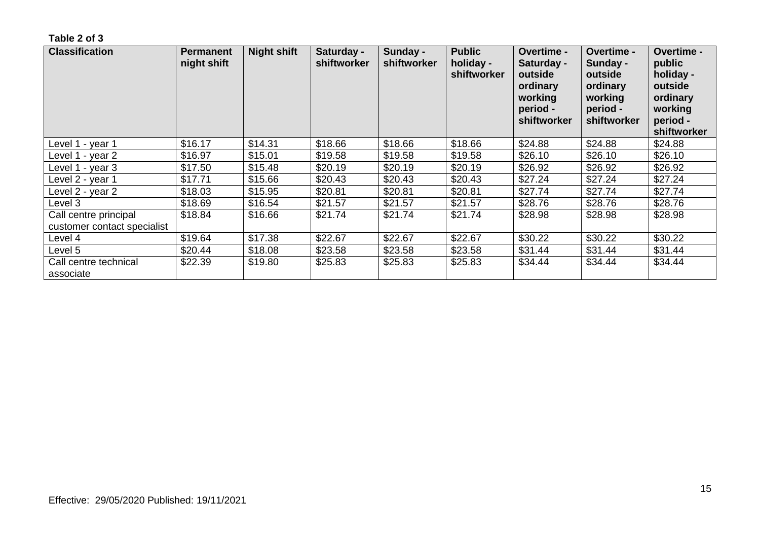| <b>Classification</b>                                | <b>Permanent</b><br>night shift | <b>Night shift</b> | Saturday -<br>shiftworker | Sunday -<br>shiftworker | <b>Public</b><br>holiday -<br>shiftworker | Overtime -<br>Saturday -<br>outside<br>ordinary<br>working<br>period -<br>shiftworker | <b>Overtime -</b><br>Sunday -<br>outside<br>ordinary<br>working<br>period -<br>shiftworker | Overtime -<br>public<br>holiday -<br>outside<br>ordinary<br>working<br>period -<br>shiftworker |
|------------------------------------------------------|---------------------------------|--------------------|---------------------------|-------------------------|-------------------------------------------|---------------------------------------------------------------------------------------|--------------------------------------------------------------------------------------------|------------------------------------------------------------------------------------------------|
| Level 1 - year 1                                     | \$16.17                         | \$14.31            | \$18.66                   | \$18.66                 | \$18.66                                   | \$24.88                                                                               | \$24.88                                                                                    | \$24.88                                                                                        |
| Level 1 - year 2                                     | \$16.97                         | \$15.01            | \$19.58                   | \$19.58                 | \$19.58                                   | \$26.10                                                                               | \$26.10                                                                                    | \$26.10                                                                                        |
| Level 1 - year 3                                     | \$17.50                         | \$15.48            | \$20.19                   | \$20.19                 | \$20.19                                   | \$26.92                                                                               | \$26.92                                                                                    | \$26.92                                                                                        |
| Level 2 - year 1                                     | \$17.71                         | \$15.66            | \$20.43                   | \$20.43                 | \$20.43                                   | \$27.24                                                                               | \$27.24                                                                                    | \$27.24                                                                                        |
| Level 2 - year 2                                     | \$18.03                         | \$15.95            | \$20.81                   | \$20.81                 | \$20.81                                   | \$27.74                                                                               | \$27.74                                                                                    | \$27.74                                                                                        |
| Level 3                                              | \$18.69                         | \$16.54            | \$21.57                   | \$21.57                 | \$21.57                                   | \$28.76                                                                               | \$28.76                                                                                    | \$28.76                                                                                        |
| Call centre principal<br>customer contact specialist | \$18.84                         | \$16.66            | \$21.74                   | \$21.74                 | \$21.74                                   | \$28.98                                                                               | \$28.98                                                                                    | \$28.98                                                                                        |
| Level 4                                              | \$19.64                         | \$17.38            | \$22.67                   | \$22.67                 | \$22.67                                   | \$30.22                                                                               | \$30.22                                                                                    | \$30.22                                                                                        |
| Level 5                                              | \$20.44                         | \$18.08            | \$23.58                   | \$23.58                 | \$23.58                                   | \$31.44                                                                               | \$31.44                                                                                    | \$31.44                                                                                        |
| Call centre technical<br>associate                   | \$22.39                         | \$19.80            | \$25.83                   | \$25.83                 | \$25.83                                   | \$34.44                                                                               | \$34.44                                                                                    | \$34.44                                                                                        |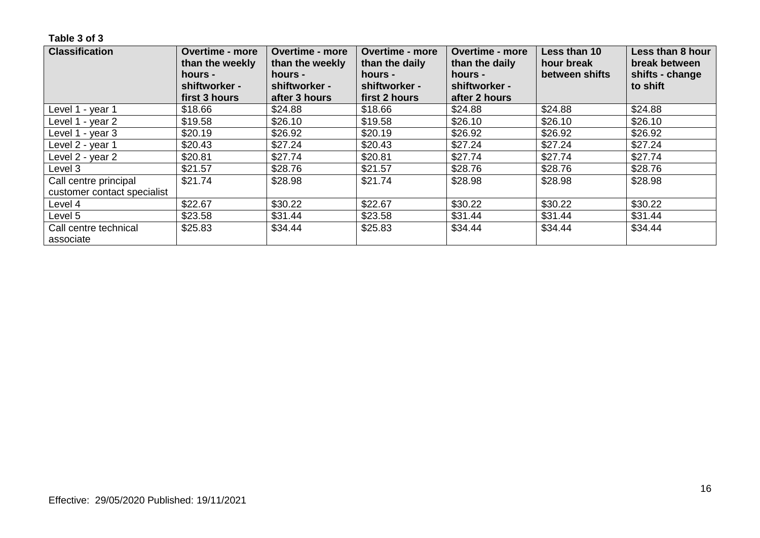| <b>Classification</b>       | <b>Overtime - more</b><br>than the weekly<br>hours - | <b>Overtime - more</b><br>than the weekly<br>hours - | <b>Overtime - more</b><br>than the daily<br>hours - | <b>Overtime - more</b><br>than the daily<br>hours - | Less than 10<br>hour break<br>between shifts | Less than 8 hour<br>break between<br>shifts - change |
|-----------------------------|------------------------------------------------------|------------------------------------------------------|-----------------------------------------------------|-----------------------------------------------------|----------------------------------------------|------------------------------------------------------|
|                             | shiftworker -<br>first 3 hours                       | shiftworker -<br>after 3 hours                       | shiftworker -<br>first 2 hours                      | shiftworker -<br>after 2 hours                      |                                              | to shift                                             |
| Level 1 - year 1            | \$18.66                                              | \$24.88                                              | \$18.66                                             | \$24.88                                             | \$24.88                                      | \$24.88                                              |
|                             |                                                      |                                                      |                                                     |                                                     |                                              |                                                      |
| Level 1 - year 2            | \$19.58                                              | \$26.10                                              | \$19.58                                             | \$26.10                                             | \$26.10                                      | \$26.10                                              |
| Level 1 - year 3            | \$20.19                                              | \$26.92                                              | \$20.19                                             | \$26.92                                             | \$26.92                                      | \$26.92                                              |
| Level 2 - year 1            | \$20.43                                              | \$27.24                                              | \$20.43                                             | \$27.24                                             | \$27.24                                      | \$27.24                                              |
| Level 2 - year 2            | \$20.81                                              | \$27.74                                              | \$20.81                                             | \$27.74                                             | \$27.74                                      | \$27.74                                              |
| Level 3                     | \$21.57                                              | \$28.76                                              | \$21.57                                             | \$28.76                                             | \$28.76                                      | \$28.76                                              |
| Call centre principal       | \$21.74                                              | \$28.98                                              | \$21.74                                             | \$28.98                                             | \$28.98                                      | \$28.98                                              |
| customer contact specialist |                                                      |                                                      |                                                     |                                                     |                                              |                                                      |
| Level 4                     | \$22.67                                              | \$30.22                                              | \$22.67                                             | \$30.22                                             | \$30.22                                      | \$30.22                                              |
| Level 5                     | \$23.58                                              | \$31.44                                              | \$23.58                                             | \$31.44                                             | \$31.44                                      | \$31.44                                              |
| Call centre technical       | \$25.83                                              | \$34.44                                              | \$25.83                                             | \$34.44                                             | \$34.44                                      | \$34.44                                              |
| associate                   |                                                      |                                                      |                                                     |                                                     |                                              |                                                      |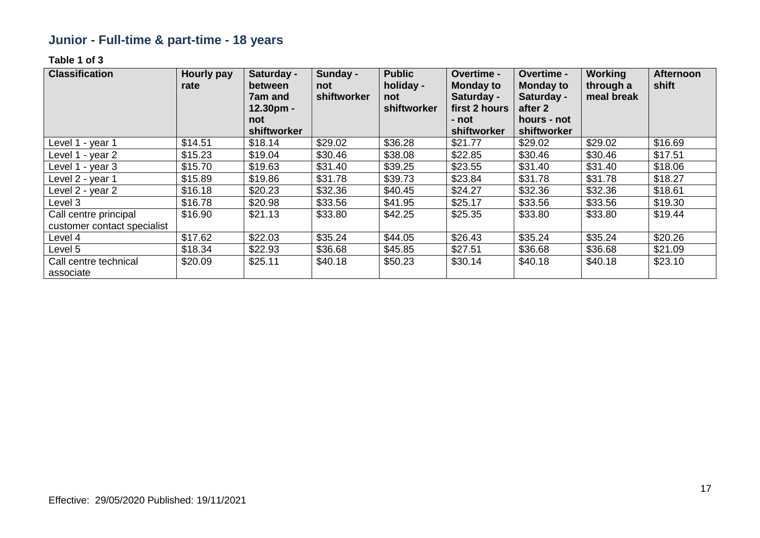# **Junior - Full-time & part-time - 18 years**

| <b>Classification</b>                                | <b>Hourly pay</b><br>rate | Saturday -<br>between<br><b>7am and</b><br>$12.30pm -$<br>not | Sunday -<br>not<br>shiftworker | <b>Public</b><br>holiday -<br>not<br>shiftworker | Overtime -<br><b>Monday to</b><br>Saturday -<br>first 2 hours<br>- not | Overtime -<br><b>Monday to</b><br>Saturday -<br>after 2<br>hours - not | <b>Working</b><br>through a<br>meal break | <b>Afternoon</b><br>shift |
|------------------------------------------------------|---------------------------|---------------------------------------------------------------|--------------------------------|--------------------------------------------------|------------------------------------------------------------------------|------------------------------------------------------------------------|-------------------------------------------|---------------------------|
|                                                      |                           | shiftworker                                                   |                                |                                                  | shiftworker                                                            | shiftworker                                                            |                                           |                           |
| Level 1 - year 1                                     | \$14.51                   | \$18.14                                                       | \$29.02                        | \$36.28                                          | \$21.77                                                                | \$29.02                                                                | \$29.02                                   | \$16.69                   |
| Level 1 - year 2                                     | \$15.23                   | \$19.04                                                       | \$30.46                        | \$38.08                                          | \$22.85                                                                | \$30.46                                                                | \$30.46                                   | \$17.51                   |
| Level 1 - year 3                                     | \$15.70                   | \$19.63                                                       | \$31.40                        | \$39.25                                          | \$23.55                                                                | \$31.40                                                                | \$31.40                                   | \$18.06                   |
| Level 2 - year 1                                     | \$15.89                   | \$19.86                                                       | \$31.78                        | \$39.73                                          | \$23.84                                                                | \$31.78                                                                | \$31.78                                   | \$18.27                   |
| Level 2 - year 2                                     | \$16.18                   | \$20.23                                                       | \$32.36                        | \$40.45                                          | \$24.27                                                                | \$32.36                                                                | \$32.36                                   | \$18.61                   |
| Level 3                                              | \$16.78                   | \$20.98                                                       | \$33.56                        | \$41.95                                          | \$25.17                                                                | \$33.56                                                                | \$33.56                                   | \$19.30                   |
| Call centre principal<br>customer contact specialist | \$16.90                   | \$21.13                                                       | \$33.80                        | \$42.25                                          | \$25.35                                                                | \$33.80                                                                | \$33.80                                   | \$19.44                   |
| Level 4                                              | \$17.62                   | \$22.03                                                       | \$35.24                        | \$44.05                                          | \$26.43                                                                | \$35.24                                                                | \$35.24                                   | \$20.26                   |
| Level 5                                              | \$18.34                   | \$22.93                                                       | \$36.68                        | \$45.85                                          | \$27.51                                                                | \$36.68                                                                | \$36.68                                   | \$21.09                   |
| Call centre technical<br>associate                   | \$20.09                   | \$25.11                                                       | \$40.18                        | \$50.23                                          | \$30.14                                                                | \$40.18                                                                | \$40.18                                   | \$23.10                   |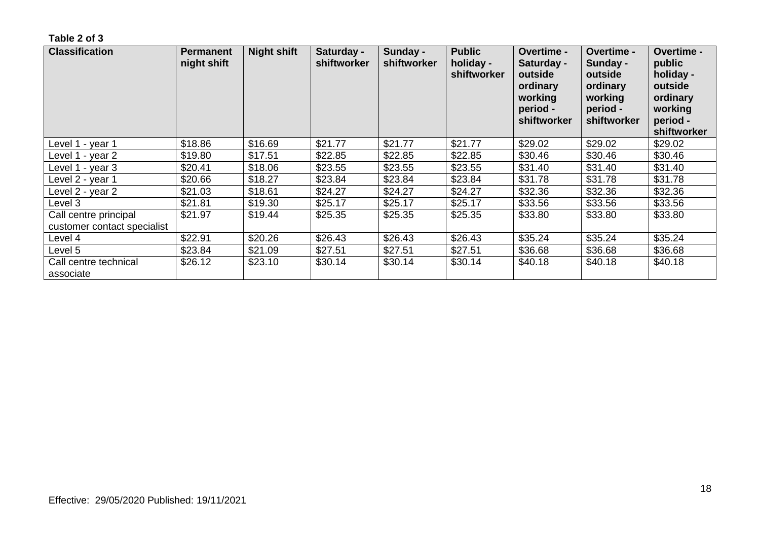| <b>Classification</b>                                | <b>Permanent</b><br>night shift | <b>Night shift</b> | Saturday -<br>shiftworker | Sunday -<br>shiftworker | <b>Public</b><br>holiday -<br>shiftworker | <b>Overtime -</b><br>Saturday -<br>outside<br>ordinary<br>working<br>period -<br>shiftworker | <b>Overtime -</b><br>Sunday -<br>outside<br>ordinary<br>working<br>period -<br>shiftworker | <b>Overtime -</b><br>public<br>holiday -<br>outside<br>ordinary<br>working<br>period -<br>shiftworker |
|------------------------------------------------------|---------------------------------|--------------------|---------------------------|-------------------------|-------------------------------------------|----------------------------------------------------------------------------------------------|--------------------------------------------------------------------------------------------|-------------------------------------------------------------------------------------------------------|
| Level 1 - year 1                                     | \$18.86                         | \$16.69            | \$21.77                   | \$21.77                 | \$21.77                                   | \$29.02                                                                                      | \$29.02                                                                                    | \$29.02                                                                                               |
| Level 1 - year 2                                     | \$19.80                         | \$17.51            | \$22.85                   | \$22.85                 | \$22.85                                   | \$30.46                                                                                      | \$30.46                                                                                    | \$30.46                                                                                               |
| Level 1 - year 3                                     | \$20.41                         | \$18.06            | \$23.55                   | \$23.55                 | \$23.55                                   | \$31.40                                                                                      | \$31.40                                                                                    | \$31.40                                                                                               |
| Level 2 - year 1                                     | \$20.66                         | \$18.27            | \$23.84                   | \$23.84                 | \$23.84                                   | \$31.78                                                                                      | \$31.78                                                                                    | \$31.78                                                                                               |
| Level 2 - year 2                                     | \$21.03                         | \$18.61            | \$24.27                   | \$24.27                 | \$24.27                                   | \$32.36                                                                                      | \$32.36                                                                                    | \$32.36                                                                                               |
| Level 3                                              | \$21.81                         | \$19.30            | \$25.17                   | \$25.17                 | \$25.17                                   | \$33.56                                                                                      | \$33.56                                                                                    | \$33.56                                                                                               |
| Call centre principal<br>customer contact specialist | \$21.97                         | \$19.44            | \$25.35                   | \$25.35                 | \$25.35                                   | \$33.80                                                                                      | \$33.80                                                                                    | \$33.80                                                                                               |
| Level 4                                              | \$22.91                         | \$20.26            | \$26.43                   | \$26.43                 | \$26.43                                   | \$35.24                                                                                      | \$35.24                                                                                    | \$35.24                                                                                               |
| Level 5                                              | \$23.84                         | \$21.09            | \$27.51                   | \$27.51                 | \$27.51                                   | \$36.68                                                                                      | \$36.68                                                                                    | \$36.68                                                                                               |
| Call centre technical<br>associate                   | \$26.12                         | \$23.10            | \$30.14                   | \$30.14                 | \$30.14                                   | \$40.18                                                                                      | \$40.18                                                                                    | \$40.18                                                                                               |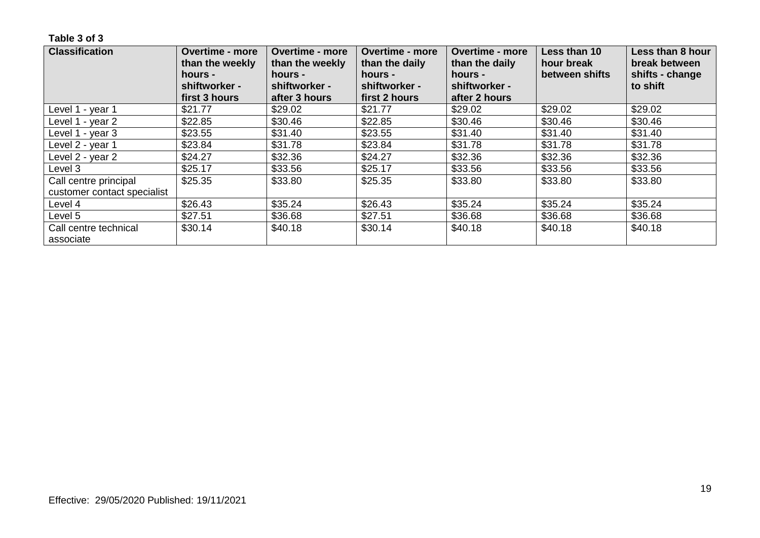| <b>Classification</b>              | <b>Overtime - more</b><br>than the weekly | <b>Overtime - more</b><br>than the weekly | <b>Overtime - more</b><br>than the daily | <b>Overtime - more</b><br>than the daily | Less than 10<br>hour break | Less than 8 hour<br>break between |
|------------------------------------|-------------------------------------------|-------------------------------------------|------------------------------------------|------------------------------------------|----------------------------|-----------------------------------|
|                                    | hours -                                   | hours -                                   | hours -<br>shiftworker -                 | hours -                                  | between shifts             | shifts - change                   |
|                                    | shiftworker -<br>first 3 hours            | shiftworker -<br>after 3 hours            | first 2 hours                            | shiftworker -<br>after 2 hours           |                            | to shift                          |
| Level 1 - year 1                   | \$21.77                                   | \$29.02                                   | \$21.77                                  | \$29.02                                  | \$29.02                    | \$29.02                           |
| Level 1 - year 2                   | \$22.85                                   | \$30.46                                   | \$22.85                                  | \$30.46                                  | \$30.46                    | \$30.46                           |
| Level 1 - year 3                   | \$23.55                                   | \$31.40                                   | \$23.55                                  | \$31.40                                  | \$31.40                    | \$31.40                           |
| Level 2 - year 1                   | \$23.84                                   | \$31.78                                   | \$23.84                                  | \$31.78                                  | \$31.78                    | \$31.78                           |
| Level 2 - year 2                   | \$24.27                                   | \$32.36                                   | \$24.27                                  | \$32.36                                  | \$32.36                    | \$32.36                           |
| Level 3                            | \$25.17                                   | \$33.56                                   | \$25.17                                  | \$33.56                                  | \$33.56                    | \$33.56                           |
| Call centre principal              | \$25.35                                   | \$33.80                                   | \$25.35                                  | \$33.80                                  | \$33.80                    | \$33.80                           |
| customer contact specialist        |                                           |                                           |                                          |                                          |                            |                                   |
| Level 4                            | \$26.43                                   | \$35.24                                   | \$26.43                                  | \$35.24                                  | \$35.24                    | \$35.24                           |
| Level 5                            | \$27.51                                   | \$36.68                                   | \$27.51                                  | \$36.68                                  | \$36.68                    | \$36.68                           |
| Call centre technical<br>associate | \$30.14                                   | \$40.18                                   | \$30.14                                  | \$40.18                                  | \$40.18                    | \$40.18                           |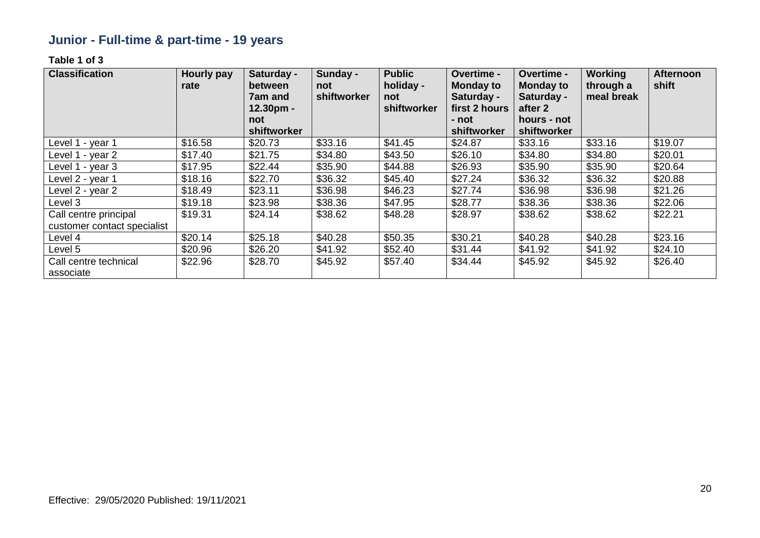# **Junior - Full-time & part-time - 19 years**

| <b>Classification</b>                                | <b>Hourly pay</b><br>rate | Saturday -<br>between<br>7am and<br>$12.30pm -$ | Sunday -<br>not<br>shiftworker | <b>Public</b><br>holiday -<br>not<br>shiftworker | Overtime -<br><b>Monday to</b><br>Saturday -<br>first 2 hours | Overtime -<br><b>Monday to</b><br>Saturday -<br>after 2 | <b>Working</b><br>through a<br>meal break | <b>Afternoon</b><br>shift |
|------------------------------------------------------|---------------------------|-------------------------------------------------|--------------------------------|--------------------------------------------------|---------------------------------------------------------------|---------------------------------------------------------|-------------------------------------------|---------------------------|
|                                                      |                           | not<br>shiftworker                              |                                |                                                  | - not<br>shiftworker                                          | hours - not<br>shiftworker                              |                                           |                           |
| Level 1 - year 1                                     | \$16.58                   | \$20.73                                         | \$33.16                        | \$41.45                                          | \$24.87                                                       | \$33.16                                                 | \$33.16                                   | \$19.07                   |
| Level 1 - year 2                                     | \$17.40                   | \$21.75                                         | \$34.80                        | \$43.50                                          | \$26.10                                                       | \$34.80                                                 | \$34.80                                   | \$20.01                   |
| Level 1 - year 3                                     | \$17.95                   | \$22.44                                         | \$35.90                        | \$44.88                                          | \$26.93                                                       | \$35.90                                                 | \$35.90                                   | \$20.64                   |
| Level 2 - year 1                                     | \$18.16                   | \$22.70                                         | \$36.32                        | \$45.40                                          | \$27.24                                                       | \$36.32                                                 | \$36.32                                   | \$20.88                   |
| Level 2 - year 2                                     | \$18.49                   | \$23.11                                         | \$36.98                        | \$46.23                                          | \$27.74                                                       | \$36.98                                                 | \$36.98                                   | \$21.26                   |
| Level 3                                              | \$19.18                   | \$23.98                                         | \$38.36                        | \$47.95                                          | \$28.77                                                       | \$38.36                                                 | \$38.36                                   | \$22.06                   |
| Call centre principal<br>customer contact specialist | \$19.31                   | \$24.14                                         | \$38.62                        | \$48.28                                          | \$28.97                                                       | \$38.62                                                 | \$38.62                                   | \$22.21                   |
| Level 4                                              | \$20.14                   | \$25.18                                         | \$40.28                        | \$50.35                                          | \$30.21                                                       | \$40.28                                                 | \$40.28                                   | \$23.16                   |
| Level 5                                              | \$20.96                   | \$26.20                                         | \$41.92                        | \$52.40                                          | \$31.44                                                       | \$41.92                                                 | \$41.92                                   | \$24.10                   |
| Call centre technical<br>associate                   | \$22.96                   | \$28.70                                         | \$45.92                        | \$57.40                                          | \$34.44                                                       | \$45.92                                                 | \$45.92                                   | \$26.40                   |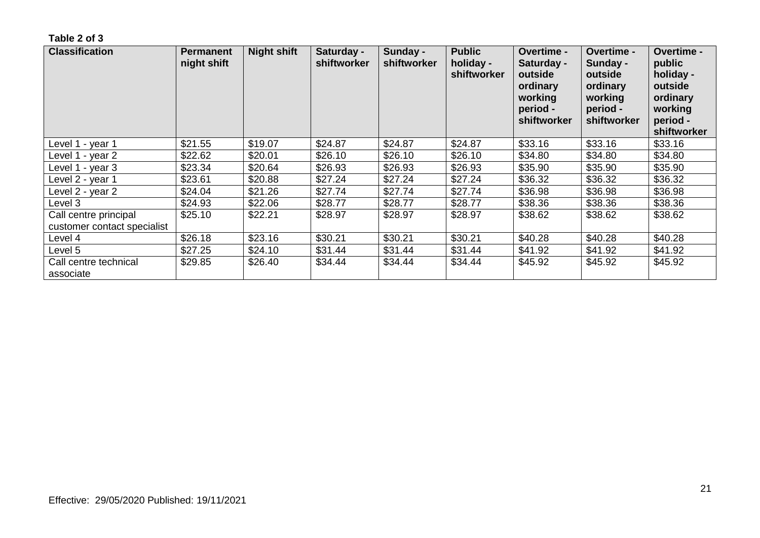| <b>Classification</b>                                | <b>Permanent</b><br>night shift | <b>Night shift</b> | Saturday -<br>shiftworker | Sunday -<br>shiftworker | <b>Public</b><br>holiday -<br>shiftworker | <b>Overtime -</b><br>Saturday -<br>outside<br>ordinary<br>working<br>period -<br>shiftworker | <b>Overtime -</b><br>Sunday -<br>outside<br>ordinary<br>working<br>period -<br>shiftworker | <b>Overtime -</b><br>public<br>holiday -<br>outside<br>ordinary<br>working<br>period -<br>shiftworker |
|------------------------------------------------------|---------------------------------|--------------------|---------------------------|-------------------------|-------------------------------------------|----------------------------------------------------------------------------------------------|--------------------------------------------------------------------------------------------|-------------------------------------------------------------------------------------------------------|
| Level 1 - year 1                                     | \$21.55                         | \$19.07            | \$24.87                   | \$24.87                 | \$24.87                                   | \$33.16                                                                                      | \$33.16                                                                                    | \$33.16                                                                                               |
| Level 1 - year 2                                     | \$22.62                         | \$20.01            | \$26.10                   | \$26.10                 | \$26.10                                   | \$34.80                                                                                      | \$34.80                                                                                    | \$34.80                                                                                               |
| Level 1 - year 3                                     | \$23.34                         | \$20.64            | \$26.93                   | \$26.93                 | \$26.93                                   | \$35.90                                                                                      | \$35.90                                                                                    | \$35.90                                                                                               |
| Level 2 - year 1                                     | \$23.61                         | \$20.88            | \$27.24                   | \$27.24                 | \$27.24                                   | \$36.32                                                                                      | \$36.32                                                                                    | \$36.32                                                                                               |
| Level 2 - year 2                                     | \$24.04                         | \$21.26            | \$27.74                   | \$27.74                 | \$27.74                                   | \$36.98                                                                                      | \$36.98                                                                                    | \$36.98                                                                                               |
| Level 3                                              | \$24.93                         | \$22.06            | \$28.77                   | \$28.77                 | \$28.77                                   | \$38.36                                                                                      | \$38.36                                                                                    | \$38.36                                                                                               |
| Call centre principal<br>customer contact specialist | \$25.10                         | \$22.21            | \$28.97                   | \$28.97                 | \$28.97                                   | \$38.62                                                                                      | \$38.62                                                                                    | \$38.62                                                                                               |
| Level 4                                              | \$26.18                         | \$23.16            | \$30.21                   | \$30.21                 | \$30.21                                   | \$40.28                                                                                      | \$40.28                                                                                    | \$40.28                                                                                               |
| Level 5                                              | \$27.25                         | \$24.10            | \$31.44                   | \$31.44                 | \$31.44                                   | \$41.92                                                                                      | \$41.92                                                                                    | \$41.92                                                                                               |
| Call centre technical<br>associate                   | \$29.85                         | \$26.40            | \$34.44                   | \$34.44                 | \$34.44                                   | \$45.92                                                                                      | \$45.92                                                                                    | \$45.92                                                                                               |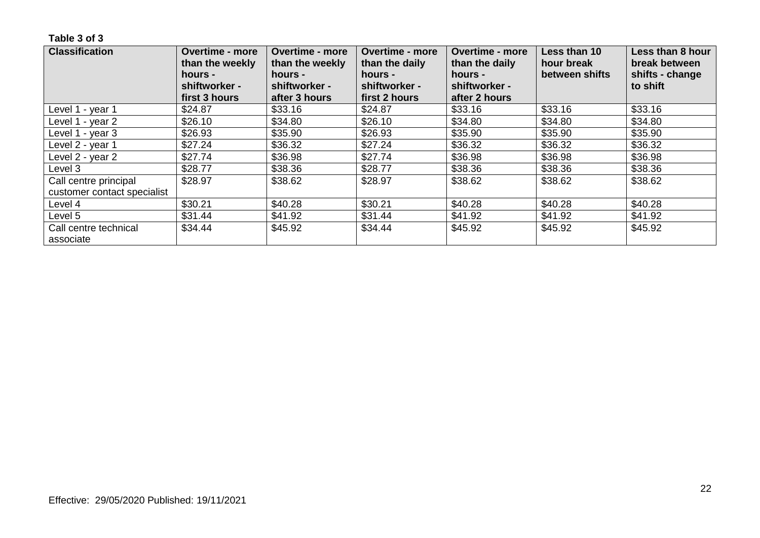| <b>Classification</b>              | <b>Overtime - more</b><br>than the weekly<br>hours -<br>shiftworker - | <b>Overtime - more</b><br>than the weekly<br>hours -<br>shiftworker - | <b>Overtime - more</b><br>than the daily<br>hours -<br>shiftworker - | <b>Overtime - more</b><br>than the daily<br>hours -<br>shiftworker - | Less than 10<br>hour break<br>between shifts | Less than 8 hour<br>break between<br>shifts - change<br>to shift |
|------------------------------------|-----------------------------------------------------------------------|-----------------------------------------------------------------------|----------------------------------------------------------------------|----------------------------------------------------------------------|----------------------------------------------|------------------------------------------------------------------|
|                                    | first 3 hours                                                         | after 3 hours                                                         | first 2 hours                                                        | after 2 hours                                                        |                                              |                                                                  |
| Level 1 - year 1                   | \$24.87                                                               | \$33.16                                                               | \$24.87                                                              | \$33.16                                                              | \$33.16                                      | \$33.16                                                          |
| Level 1 - year 2                   | \$26.10                                                               | \$34.80                                                               | \$26.10                                                              | \$34.80                                                              | \$34.80                                      | \$34.80                                                          |
| Level 1 - year 3                   | \$26.93                                                               | \$35.90                                                               | \$26.93                                                              | \$35.90                                                              | \$35.90                                      | \$35.90                                                          |
| Level 2 - year 1                   | \$27.24                                                               | \$36.32                                                               | \$27.24                                                              | \$36.32                                                              | \$36.32                                      | \$36.32                                                          |
| Level 2 - year 2                   | \$27.74                                                               | \$36.98                                                               | \$27.74                                                              | \$36.98                                                              | \$36.98                                      | \$36.98                                                          |
| Level 3                            | \$28.77                                                               | \$38.36                                                               | \$28.77                                                              | \$38.36                                                              | \$38.36                                      | \$38.36                                                          |
| Call centre principal              | \$28.97                                                               | \$38.62                                                               | \$28.97                                                              | \$38.62                                                              | \$38.62                                      | \$38.62                                                          |
| customer contact specialist        |                                                                       |                                                                       |                                                                      |                                                                      |                                              |                                                                  |
| Level 4                            | \$30.21                                                               | \$40.28                                                               | \$30.21                                                              | \$40.28                                                              | \$40.28                                      | \$40.28                                                          |
| Level 5                            | \$31.44                                                               | \$41.92                                                               | \$31.44                                                              | \$41.92                                                              | \$41.92                                      | \$41.92                                                          |
| Call centre technical<br>associate | \$34.44                                                               | \$45.92                                                               | \$34.44                                                              | \$45.92                                                              | \$45.92                                      | \$45.92                                                          |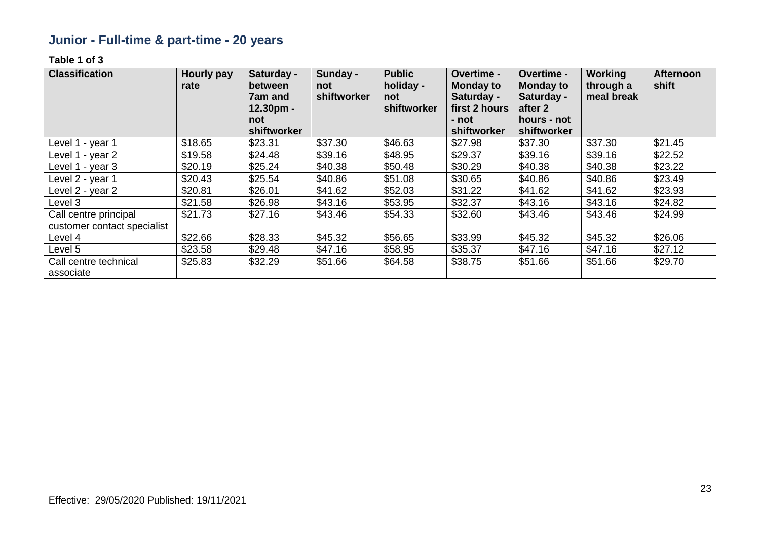# **Junior - Full-time & part-time - 20 years**

| <b>Classification</b>                                | <b>Hourly pay</b><br>rate | Saturday -<br>between<br>7am and<br>$12.30pm -$ | Sunday -<br>not<br>shiftworker | <b>Public</b><br>holiday -<br>not<br>shiftworker | Overtime -<br><b>Monday to</b><br>Saturday -<br>first 2 hours | Overtime -<br><b>Monday to</b><br>Saturday -<br>after 2 | <b>Working</b><br>through a<br>meal break | <b>Afternoon</b><br>shift |
|------------------------------------------------------|---------------------------|-------------------------------------------------|--------------------------------|--------------------------------------------------|---------------------------------------------------------------|---------------------------------------------------------|-------------------------------------------|---------------------------|
|                                                      |                           | not                                             |                                |                                                  | - not                                                         | hours - not                                             |                                           |                           |
|                                                      |                           | shiftworker                                     |                                |                                                  | shiftworker                                                   | shiftworker                                             |                                           |                           |
| Level 1 - year 1                                     | \$18.65                   | \$23.31                                         | \$37.30                        | \$46.63                                          | \$27.98                                                       | \$37.30                                                 | \$37.30                                   | \$21.45                   |
| Level 1 - year 2                                     | \$19.58                   | \$24.48                                         | \$39.16                        | \$48.95                                          | \$29.37                                                       | \$39.16                                                 | \$39.16                                   | \$22.52                   |
| Level 1 - year 3                                     | \$20.19                   | \$25.24                                         | \$40.38                        | \$50.48                                          | \$30.29                                                       | \$40.38                                                 | \$40.38                                   | \$23.22                   |
| Level 2 - year 1                                     | \$20.43                   | \$25.54                                         | \$40.86                        | \$51.08                                          | \$30.65                                                       | \$40.86                                                 | \$40.86                                   | \$23.49                   |
| Level 2 - year 2                                     | \$20.81                   | \$26.01                                         | \$41.62                        | \$52.03                                          | \$31.22                                                       | \$41.62                                                 | \$41.62                                   | \$23.93                   |
| Level 3                                              | \$21.58                   | \$26.98                                         | \$43.16                        | \$53.95                                          | \$32.37                                                       | \$43.16                                                 | \$43.16                                   | \$24.82                   |
| Call centre principal<br>customer contact specialist | \$21.73                   | \$27.16                                         | \$43.46                        | \$54.33                                          | \$32.60                                                       | \$43.46                                                 | \$43.46                                   | \$24.99                   |
| Level 4                                              | \$22.66                   | \$28.33                                         | \$45.32                        | \$56.65                                          | \$33.99                                                       | \$45.32                                                 | \$45.32                                   | \$26.06                   |
| Level 5                                              | \$23.58                   | \$29.48                                         | \$47.16                        | \$58.95                                          | \$35.37                                                       | \$47.16                                                 | \$47.16                                   | \$27.12                   |
| Call centre technical<br>associate                   | \$25.83                   | \$32.29                                         | \$51.66                        | \$64.58                                          | \$38.75                                                       | \$51.66                                                 | \$51.66                                   | \$29.70                   |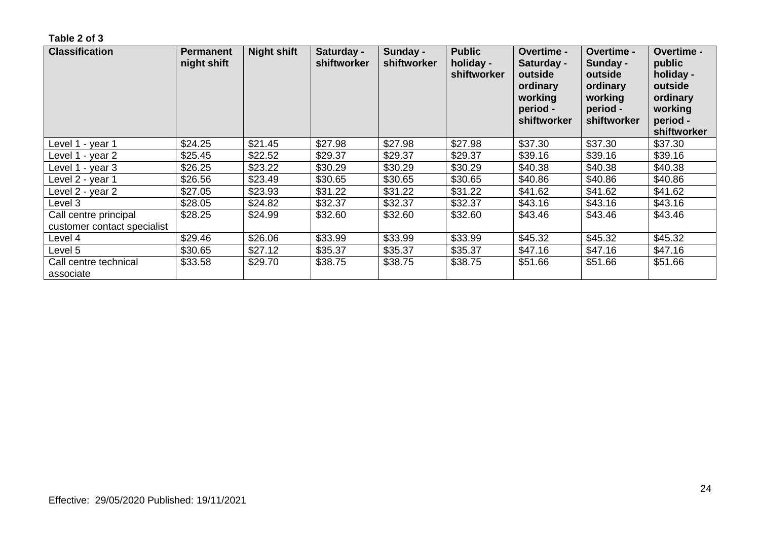| <b>Classification</b>                                | <b>Permanent</b><br>night shift | <b>Night shift</b> | Saturday -<br>shiftworker | Sunday -<br>shiftworker | <b>Public</b><br>holiday -<br>shiftworker | <b>Overtime -</b><br>Saturday -<br>outside<br>ordinary<br>working<br>period -<br>shiftworker | <b>Overtime -</b><br>Sunday -<br>outside<br>ordinary<br>working<br>period -<br>shiftworker | <b>Overtime -</b><br>public<br>holiday -<br>outside<br>ordinary<br>working<br>period -<br>shiftworker |
|------------------------------------------------------|---------------------------------|--------------------|---------------------------|-------------------------|-------------------------------------------|----------------------------------------------------------------------------------------------|--------------------------------------------------------------------------------------------|-------------------------------------------------------------------------------------------------------|
| Level 1 - year 1                                     | \$24.25                         | \$21.45            | \$27.98                   | \$27.98                 | \$27.98                                   | \$37.30                                                                                      | \$37.30                                                                                    | \$37.30                                                                                               |
| Level 1 - year 2                                     | \$25.45                         | \$22.52            | \$29.37                   | \$29.37                 | \$29.37                                   | \$39.16                                                                                      | \$39.16                                                                                    | \$39.16                                                                                               |
| Level 1 - year 3                                     | \$26.25                         | \$23.22            | \$30.29                   | \$30.29                 | \$30.29                                   | \$40.38                                                                                      | \$40.38                                                                                    | \$40.38                                                                                               |
| Level 2 - year 1                                     | \$26.56                         | \$23.49            | \$30.65                   | \$30.65                 | \$30.65                                   | \$40.86                                                                                      | \$40.86                                                                                    | \$40.86                                                                                               |
| Level 2 - year 2                                     | \$27.05                         | \$23.93            | \$31.22                   | \$31.22                 | \$31.22                                   | \$41.62                                                                                      | \$41.62                                                                                    | \$41.62                                                                                               |
| Level 3                                              | \$28.05                         | \$24.82            | \$32.37                   | \$32.37                 | \$32.37                                   | \$43.16                                                                                      | \$43.16                                                                                    | \$43.16                                                                                               |
| Call centre principal<br>customer contact specialist | \$28.25                         | \$24.99            | \$32.60                   | \$32.60                 | \$32.60                                   | \$43.46                                                                                      | \$43.46                                                                                    | \$43.46                                                                                               |
| Level 4                                              | \$29.46                         | \$26.06            | \$33.99                   | \$33.99                 | \$33.99                                   | \$45.32                                                                                      | \$45.32                                                                                    | \$45.32                                                                                               |
| Level 5                                              | \$30.65                         | \$27.12            | \$35.37                   | \$35.37                 | \$35.37                                   | \$47.16                                                                                      | \$47.16                                                                                    | \$47.16                                                                                               |
| Call centre technical<br>associate                   | \$33.58                         | \$29.70            | \$38.75                   | \$38.75                 | \$38.75                                   | \$51.66                                                                                      | \$51.66                                                                                    | \$51.66                                                                                               |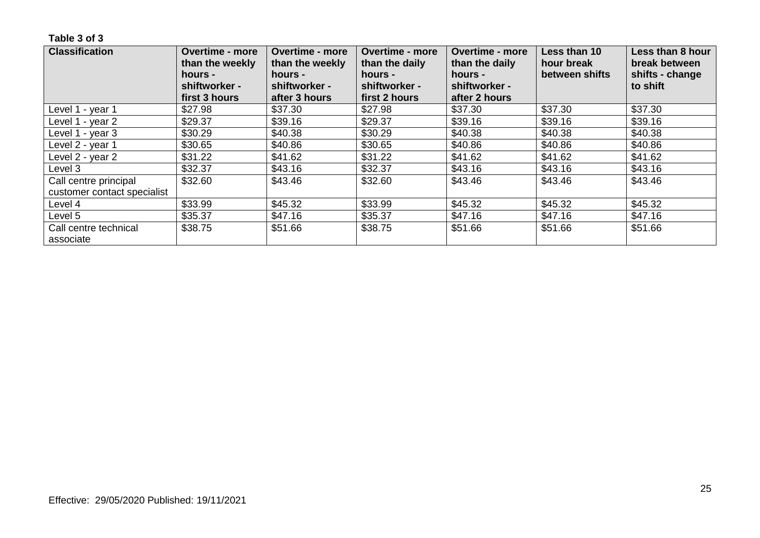| <b>Classification</b>              | <b>Overtime - more</b><br>than the weekly<br>hours - | <b>Overtime - more</b><br>than the weekly<br>hours - | <b>Overtime - more</b><br>than the daily<br>hours - | <b>Overtime - more</b><br>than the daily<br>hours - | Less than 10<br>hour break<br>between shifts | Less than 8 hour<br>break between<br>shifts - change |
|------------------------------------|------------------------------------------------------|------------------------------------------------------|-----------------------------------------------------|-----------------------------------------------------|----------------------------------------------|------------------------------------------------------|
|                                    | shiftworker -<br>first 3 hours                       | shiftworker -<br>after 3 hours                       | shiftworker -<br>first 2 hours                      | shiftworker -<br>after 2 hours                      |                                              | to shift                                             |
| Level 1 - year 1                   | \$27.98                                              | \$37.30                                              | \$27.98                                             | \$37.30                                             | \$37.30                                      | \$37.30                                              |
| Level 1 - year 2                   | \$29.37                                              | \$39.16                                              | \$29.37                                             | \$39.16                                             | \$39.16                                      | \$39.16                                              |
| Level 1 - year 3                   | \$30.29                                              | \$40.38                                              | \$30.29                                             | \$40.38                                             | \$40.38                                      | \$40.38                                              |
| Level 2 - year 1                   | \$30.65                                              | \$40.86                                              | \$30.65                                             | \$40.86                                             | \$40.86                                      | \$40.86                                              |
| Level 2 - year 2                   | \$31.22                                              | \$41.62                                              | \$31.22                                             | \$41.62                                             | \$41.62                                      | \$41.62                                              |
| Level 3                            | \$32.37                                              | \$43.16                                              | \$32.37                                             | \$43.16                                             | \$43.16                                      | \$43.16                                              |
| Call centre principal              | \$32.60                                              | \$43.46                                              | \$32.60                                             | \$43.46                                             | \$43.46                                      | \$43.46                                              |
| customer contact specialist        |                                                      |                                                      |                                                     |                                                     |                                              |                                                      |
| Level 4                            | \$33.99                                              | \$45.32                                              | \$33.99                                             | \$45.32                                             | \$45.32                                      | \$45.32                                              |
| Level 5                            | \$35.37                                              | \$47.16                                              | \$35.37                                             | \$47.16                                             | \$47.16                                      | \$47.16                                              |
| Call centre technical<br>associate | \$38.75                                              | \$51.66                                              | \$38.75                                             | \$51.66                                             | \$51.66                                      | \$51.66                                              |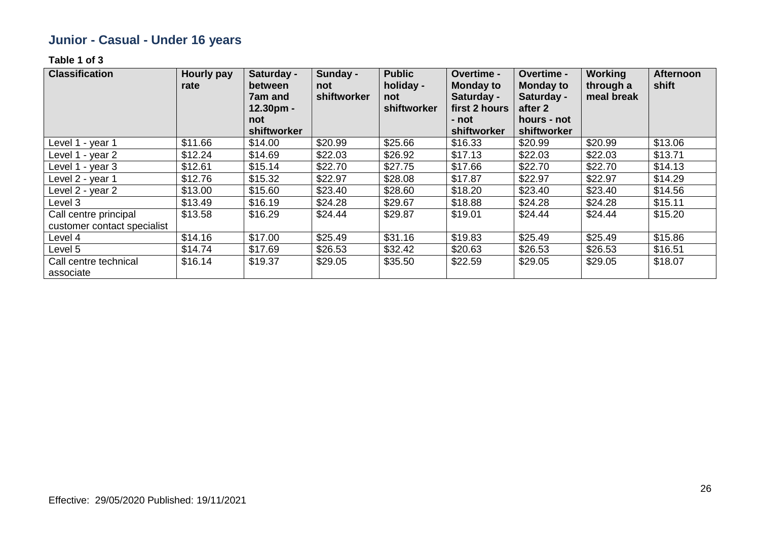# **Junior - Casual - Under 16 years**

| <b>Classification</b>                                | <b>Hourly pay</b><br>rate | Saturday -<br>between<br>7am and<br>12.30pm - | Sunday -<br>not<br>shiftworker | <b>Public</b><br>holiday -<br>not<br>shiftworker | <b>Overtime -</b><br><b>Monday to</b><br>Saturday -<br>first 2 hours | Overtime -<br><b>Monday to</b><br>Saturday -<br>after 2 | <b>Working</b><br>through a<br>meal break | <b>Afternoon</b><br>shift |
|------------------------------------------------------|---------------------------|-----------------------------------------------|--------------------------------|--------------------------------------------------|----------------------------------------------------------------------|---------------------------------------------------------|-------------------------------------------|---------------------------|
|                                                      |                           | not                                           |                                |                                                  | - not                                                                | hours - not                                             |                                           |                           |
|                                                      |                           | shiftworker                                   |                                |                                                  | shiftworker                                                          | shiftworker                                             |                                           |                           |
| Level 1 - year 1                                     | \$11.66                   | \$14.00                                       | \$20.99                        | \$25.66                                          | \$16.33                                                              | \$20.99                                                 | \$20.99                                   | \$13.06                   |
| Level 1 - year 2                                     | \$12.24                   | \$14.69                                       | \$22.03                        | \$26.92                                          | \$17.13                                                              | \$22.03                                                 | \$22.03                                   | \$13.71                   |
| Level 1 - year 3                                     | \$12.61                   | \$15.14                                       | \$22.70                        | \$27.75                                          | \$17.66                                                              | \$22.70                                                 | \$22.70                                   | \$14.13                   |
| Level 2 - year 1                                     | \$12.76                   | \$15.32                                       | \$22.97                        | \$28.08                                          | \$17.87                                                              | \$22.97                                                 | \$22.97                                   | \$14.29                   |
| Level 2 - year 2                                     | \$13.00                   | \$15.60                                       | \$23.40                        | \$28.60                                          | \$18.20                                                              | \$23.40                                                 | \$23.40                                   | \$14.56                   |
| Level 3                                              | \$13.49                   | \$16.19                                       | \$24.28                        | \$29.67                                          | \$18.88                                                              | \$24.28                                                 | \$24.28                                   | \$15.11                   |
| Call centre principal<br>customer contact specialist | \$13.58                   | \$16.29                                       | \$24.44                        | \$29.87                                          | \$19.01                                                              | \$24.44                                                 | \$24.44                                   | \$15.20                   |
| Level 4                                              | \$14.16                   | \$17.00                                       | \$25.49                        | \$31.16                                          | \$19.83                                                              | \$25.49                                                 | \$25.49                                   | \$15.86                   |
| Level 5                                              | \$14.74                   | \$17.69                                       | \$26.53                        | \$32.42                                          | \$20.63                                                              | \$26.53                                                 | \$26.53                                   | \$16.51                   |
| Call centre technical<br>associate                   | \$16.14                   | \$19.37                                       | \$29.05                        | \$35.50                                          | \$22.59                                                              | \$29.05                                                 | \$29.05                                   | \$18.07                   |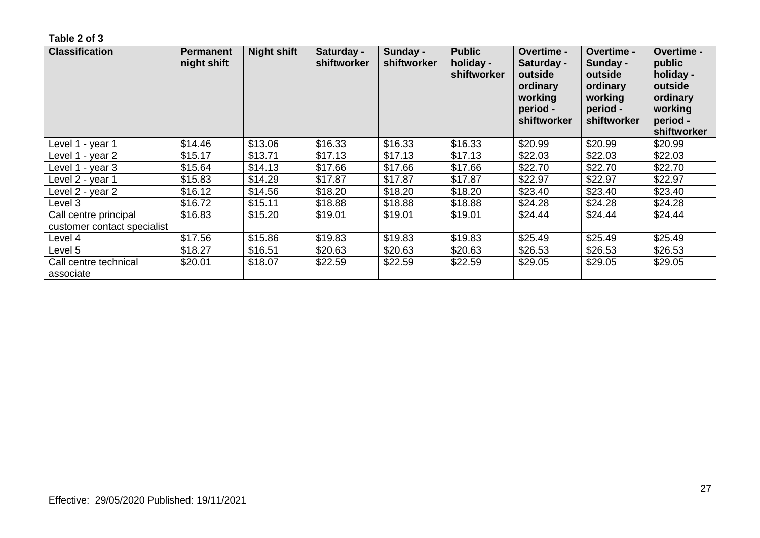| <b>Classification</b>                                | <b>Permanent</b><br>night shift | <b>Night shift</b> | Saturday -<br>shiftworker | Sunday -<br>shiftworker | <b>Public</b><br>holiday -<br>shiftworker | <b>Overtime -</b><br>Saturday -<br>outside<br>ordinary<br>working<br>period -<br>shiftworker | <b>Overtime -</b><br>Sunday -<br>outside<br>ordinary<br>working<br>period -<br>shiftworker | <b>Overtime -</b><br>public<br>holiday -<br>outside<br>ordinary<br>working<br>period -<br>shiftworker |
|------------------------------------------------------|---------------------------------|--------------------|---------------------------|-------------------------|-------------------------------------------|----------------------------------------------------------------------------------------------|--------------------------------------------------------------------------------------------|-------------------------------------------------------------------------------------------------------|
| Level 1 - year 1                                     | \$14.46                         | \$13.06            | \$16.33                   | \$16.33                 | \$16.33                                   | \$20.99                                                                                      | \$20.99                                                                                    | \$20.99                                                                                               |
| Level 1 - year 2                                     | \$15.17                         | \$13.71            | \$17.13                   | \$17.13                 | \$17.13                                   | \$22.03                                                                                      | \$22.03                                                                                    | \$22.03                                                                                               |
| Level 1 - year 3                                     | \$15.64                         | \$14.13            | \$17.66                   | \$17.66                 | \$17.66                                   | \$22.70                                                                                      | \$22.70                                                                                    | \$22.70                                                                                               |
| Level 2 - year 1                                     | \$15.83                         | \$14.29            | \$17.87                   | \$17.87                 | \$17.87                                   | \$22.97                                                                                      | \$22.97                                                                                    | \$22.97                                                                                               |
| Level 2 - year 2                                     | \$16.12                         | \$14.56            | \$18.20                   | \$18.20                 | \$18.20                                   | \$23.40                                                                                      | \$23.40                                                                                    | \$23.40                                                                                               |
| Level 3                                              | \$16.72                         | \$15.11            | \$18.88                   | \$18.88                 | \$18.88                                   | \$24.28                                                                                      | \$24.28                                                                                    | \$24.28                                                                                               |
| Call centre principal<br>customer contact specialist | \$16.83                         | \$15.20            | \$19.01                   | \$19.01                 | \$19.01                                   | \$24.44                                                                                      | \$24.44                                                                                    | \$24.44                                                                                               |
| Level 4                                              | \$17.56                         | \$15.86            | \$19.83                   | \$19.83                 | \$19.83                                   | \$25.49                                                                                      | \$25.49                                                                                    | \$25.49                                                                                               |
| Level 5                                              | \$18.27                         | \$16.51            | \$20.63                   | \$20.63                 | \$20.63                                   | \$26.53                                                                                      | \$26.53                                                                                    | \$26.53                                                                                               |
| Call centre technical<br>associate                   | \$20.01                         | \$18.07            | \$22.59                   | \$22.59                 | \$22.59                                   | \$29.05                                                                                      | \$29.05                                                                                    | \$29.05                                                                                               |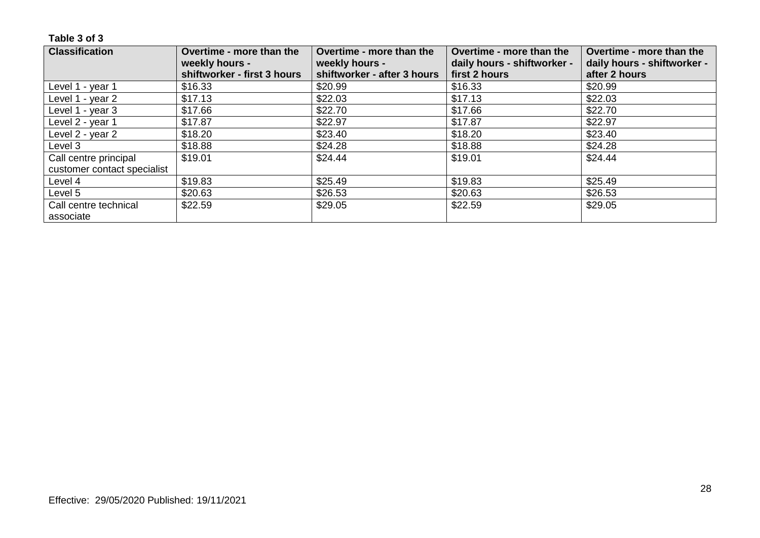| <b>Classification</b>       | Overtime - more than the    | Overtime - more than the    | Overtime - more than the    | Overtime - more than the    |
|-----------------------------|-----------------------------|-----------------------------|-----------------------------|-----------------------------|
|                             | weekly hours -              | weekly hours -              | daily hours - shiftworker - | daily hours - shiftworker - |
|                             | shiftworker - first 3 hours | shiftworker - after 3 hours | first 2 hours               | after 2 hours               |
| Level 1 - year 1            | \$16.33                     | \$20.99                     | \$16.33                     | \$20.99                     |
| Level 1 - year 2            | \$17.13                     | \$22.03                     | \$17.13                     | \$22.03                     |
| Level 1 - year 3            | \$17.66                     | \$22.70                     | \$17.66                     | \$22.70                     |
| Level 2 - year 1            | \$17.87                     | \$22.97                     | \$17.87                     | \$22.97                     |
| Level 2 - year 2            | \$18.20                     | \$23.40                     | \$18.20                     | \$23.40                     |
| Level 3                     | \$18.88                     | \$24.28                     | \$18.88                     | \$24.28                     |
| Call centre principal       | \$19.01                     | \$24.44                     | \$19.01                     | \$24.44                     |
| customer contact specialist |                             |                             |                             |                             |
| Level 4                     | \$19.83                     | \$25.49                     | \$19.83                     | \$25.49                     |
| Level 5                     | \$20.63                     | \$26.53                     | \$20.63                     | \$26.53                     |
| Call centre technical       | \$22.59                     | \$29.05                     | \$22.59                     | \$29.05                     |
| associate                   |                             |                             |                             |                             |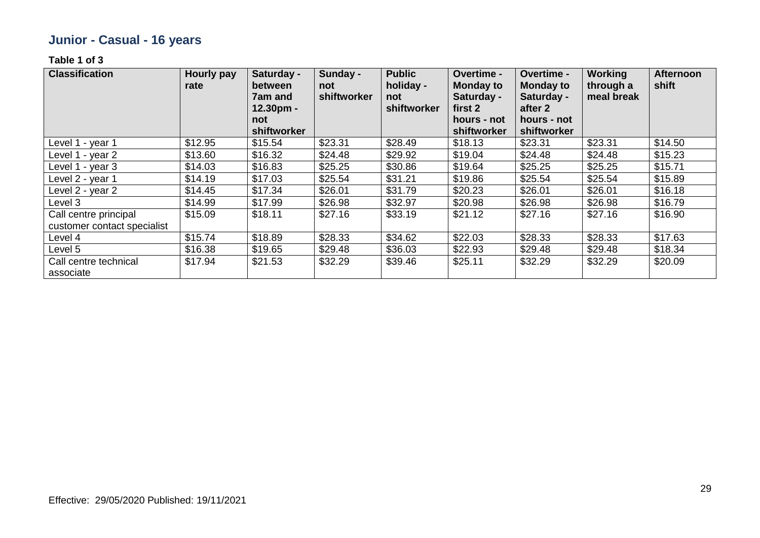# **Junior - Casual - 16 years**

| <b>Classification</b>       | Hourly pay<br>rate | Saturday -<br>between<br>7am and<br>12.30pm -<br>not | Sunday -<br>not<br>shiftworker | <b>Public</b><br>holiday -<br>not<br>shiftworker | <b>Overtime -</b><br><b>Monday to</b><br>Saturday -<br>first 2<br>hours - not | <b>Overtime -</b><br><b>Monday to</b><br>Saturday -<br>after 2<br>hours - not | Working<br>through a<br>meal break | <b>Afternoon</b><br>shift |
|-----------------------------|--------------------|------------------------------------------------------|--------------------------------|--------------------------------------------------|-------------------------------------------------------------------------------|-------------------------------------------------------------------------------|------------------------------------|---------------------------|
| Level 1 - year 1            | \$12.95            | shiftworker<br>\$15.54                               | \$23.31                        | \$28.49                                          | shiftworker<br>\$18.13                                                        | shiftworker<br>\$23.31                                                        | \$23.31                            | \$14.50                   |
|                             |                    |                                                      |                                |                                                  |                                                                               |                                                                               |                                    |                           |
| Level 1 - year 2            | \$13.60            | \$16.32                                              | \$24.48                        | \$29.92                                          | \$19.04                                                                       | \$24.48                                                                       | \$24.48                            | \$15.23                   |
| Level 1 - year 3            | \$14.03            | \$16.83                                              | \$25.25                        | \$30.86                                          | \$19.64                                                                       | \$25.25                                                                       | \$25.25                            | \$15.71                   |
| Level 2 - year 1            | \$14.19            | \$17.03                                              | \$25.54                        | \$31.21                                          | \$19.86                                                                       | \$25.54                                                                       | \$25.54                            | \$15.89                   |
| Level 2 - year 2            | \$14.45            | \$17.34                                              | \$26.01                        | \$31.79                                          | \$20.23                                                                       | \$26.01                                                                       | \$26.01                            | \$16.18                   |
| Level 3                     | \$14.99            | \$17.99                                              | \$26.98                        | \$32.97                                          | \$20.98                                                                       | \$26.98                                                                       | \$26.98                            | \$16.79                   |
| Call centre principal       | \$15.09            | \$18.11                                              | \$27.16                        | \$33.19                                          | \$21.12                                                                       | \$27.16                                                                       | \$27.16                            | \$16.90                   |
| customer contact specialist |                    |                                                      |                                |                                                  |                                                                               |                                                                               |                                    |                           |
| Level 4                     | \$15.74            | \$18.89                                              | \$28.33                        | \$34.62                                          | \$22.03                                                                       | \$28.33                                                                       | \$28.33                            | \$17.63                   |
| Level 5                     | \$16.38            | \$19.65                                              | \$29.48                        | \$36.03                                          | \$22.93                                                                       | \$29.48                                                                       | \$29.48                            | \$18.34                   |
| Call centre technical       | \$17.94            | \$21.53                                              | \$32.29                        | \$39.46                                          | \$25.11                                                                       | \$32.29                                                                       | \$32.29                            | \$20.09                   |
| associate                   |                    |                                                      |                                |                                                  |                                                                               |                                                                               |                                    |                           |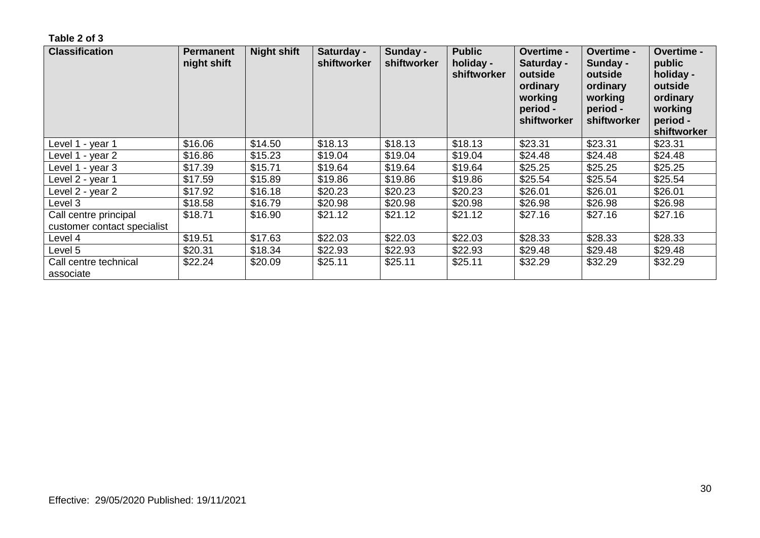| <b>Classification</b>                                | Permanent<br>night shift | <b>Night shift</b> | Saturday -<br>shiftworker | Sunday -<br>shiftworker | <b>Public</b><br>holiday -<br>shiftworker | <b>Overtime -</b><br>Saturday -<br>outside<br>ordinary<br>working<br>period -<br>shiftworker | <b>Overtime -</b><br>Sunday -<br>outside<br>ordinary<br>working<br>period -<br>shiftworker | <b>Overtime -</b><br>public<br>holiday -<br>outside<br>ordinary<br>working<br>period -<br>shiftworker |
|------------------------------------------------------|--------------------------|--------------------|---------------------------|-------------------------|-------------------------------------------|----------------------------------------------------------------------------------------------|--------------------------------------------------------------------------------------------|-------------------------------------------------------------------------------------------------------|
| Level 1 - year 1                                     | \$16.06                  | \$14.50            | \$18.13                   | \$18.13                 | \$18.13                                   | \$23.31                                                                                      | \$23.31                                                                                    | \$23.31                                                                                               |
| Level 1 - year 2                                     | \$16.86                  | \$15.23            | \$19.04                   | \$19.04                 | \$19.04                                   | \$24.48                                                                                      | \$24.48                                                                                    | \$24.48                                                                                               |
| Level 1 - year 3                                     | \$17.39                  | \$15.71            | \$19.64                   | \$19.64                 | \$19.64                                   | \$25.25                                                                                      | \$25.25                                                                                    | \$25.25                                                                                               |
| Level 2 - year 1                                     | \$17.59                  | \$15.89            | \$19.86                   | \$19.86                 | \$19.86                                   | \$25.54                                                                                      | \$25.54                                                                                    | \$25.54                                                                                               |
| ∟evel 2 - year 2                                     | \$17.92                  | \$16.18            | \$20.23                   | \$20.23                 | \$20.23                                   | \$26.01                                                                                      | \$26.01                                                                                    | \$26.01                                                                                               |
| Level 3                                              | \$18.58                  | \$16.79            | \$20.98                   | \$20.98                 | \$20.98                                   | \$26.98                                                                                      | \$26.98                                                                                    | \$26.98                                                                                               |
| Call centre principal<br>customer contact specialist | \$18.71                  | \$16.90            | \$21.12                   | \$21.12                 | \$21.12                                   | \$27.16                                                                                      | \$27.16                                                                                    | \$27.16                                                                                               |
| Level 4                                              | \$19.51                  | \$17.63            | \$22.03                   | \$22.03                 | \$22.03                                   | \$28.33                                                                                      | \$28.33                                                                                    | \$28.33                                                                                               |
| Level 5                                              | \$20.31                  | \$18.34            | \$22.93                   | \$22.93                 | \$22.93                                   | \$29.48                                                                                      | \$29.48                                                                                    | \$29.48                                                                                               |
| Call centre technical<br>associate                   | \$22.24                  | \$20.09            | \$25.11                   | \$25.11                 | \$25.11                                   | \$32.29                                                                                      | \$32.29                                                                                    | \$32.29                                                                                               |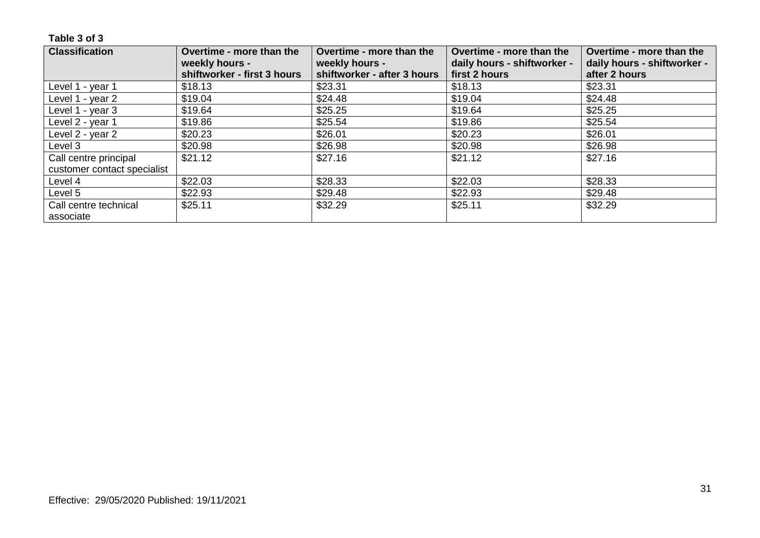| <b>Classification</b>       | Overtime - more than the<br>weekly hours - | Overtime - more than the<br>weekly hours - | Overtime - more than the<br>daily hours - shiftworker - | Overtime - more than the<br>daily hours - shiftworker - |
|-----------------------------|--------------------------------------------|--------------------------------------------|---------------------------------------------------------|---------------------------------------------------------|
|                             | shiftworker - first 3 hours                | shiftworker - after 3 hours                | first 2 hours                                           | after 2 hours                                           |
| Level 1 - year 1            | \$18.13                                    | \$23.31                                    | \$18.13                                                 | \$23.31                                                 |
| Level 1 - year 2            | \$19.04                                    | \$24.48                                    | \$19.04                                                 | \$24.48                                                 |
| Level 1 - year 3            | \$19.64                                    | \$25.25                                    | \$19.64                                                 | \$25.25                                                 |
| Level 2 - year 1            | \$19.86                                    | \$25.54                                    | \$19.86                                                 | \$25.54                                                 |
| Level 2 - year 2            | \$20.23                                    | \$26.01                                    | \$20.23                                                 | \$26.01                                                 |
| Level 3                     | \$20.98                                    | \$26.98                                    | \$20.98                                                 | \$26.98                                                 |
| Call centre principal       | \$21.12                                    | \$27.16                                    | \$21.12                                                 | \$27.16                                                 |
| customer contact specialist |                                            |                                            |                                                         |                                                         |
| Level 4                     | \$22.03                                    | \$28.33                                    | \$22.03                                                 | \$28.33                                                 |
| Level 5                     | \$22.93                                    | \$29.48                                    | \$22.93                                                 | \$29.48                                                 |
| Call centre technical       | \$25.11                                    | \$32.29                                    | \$25.11                                                 | \$32.29                                                 |
| associate                   |                                            |                                            |                                                         |                                                         |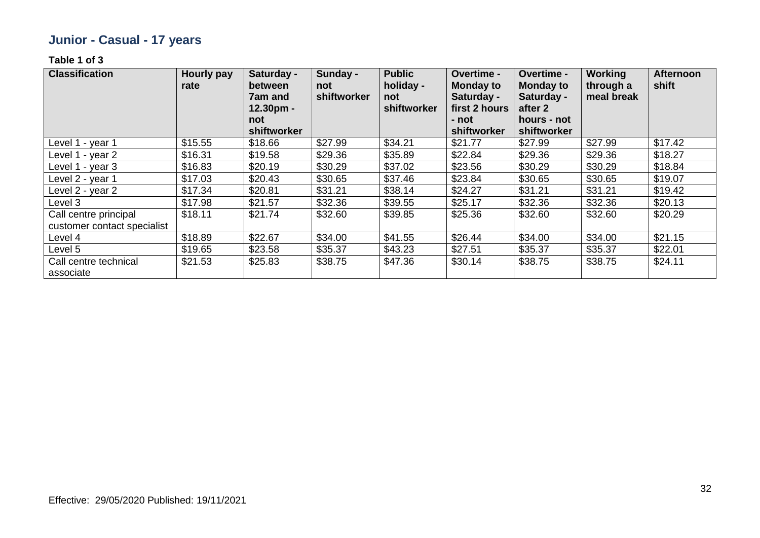# **Junior - Casual - 17 years**

| <b>Classification</b>                                | <b>Hourly pay</b><br>rate | Saturday -<br>between<br><b>7am and</b><br>12.30pm -<br>not | Sunday -<br>not<br>shiftworker | <b>Public</b><br>holiday -<br>not<br>shiftworker | Overtime -<br><b>Monday to</b><br>Saturday -<br>first 2 hours<br>- not | Overtime -<br><b>Monday to</b><br>Saturday -<br>after 2<br>hours - not | <b>Working</b><br>through a<br>meal break | <b>Afternoon</b><br>shift |
|------------------------------------------------------|---------------------------|-------------------------------------------------------------|--------------------------------|--------------------------------------------------|------------------------------------------------------------------------|------------------------------------------------------------------------|-------------------------------------------|---------------------------|
|                                                      |                           | shiftworker                                                 |                                |                                                  | shiftworker                                                            | shiftworker                                                            |                                           |                           |
| Level 1 - year 1                                     | \$15.55                   | \$18.66                                                     | \$27.99                        | \$34.21                                          | \$21.77                                                                | \$27.99                                                                | \$27.99                                   | \$17.42                   |
| Level 1 - year 2                                     | \$16.31                   | \$19.58                                                     | \$29.36                        | \$35.89                                          | \$22.84                                                                | \$29.36                                                                | \$29.36                                   | \$18.27                   |
| Level 1 - year 3                                     | \$16.83                   | \$20.19                                                     | \$30.29                        | \$37.02                                          | \$23.56                                                                | \$30.29                                                                | \$30.29                                   | \$18.84                   |
| Level 2 - year 1                                     | \$17.03                   | \$20.43                                                     | \$30.65                        | \$37.46                                          | \$23.84                                                                | \$30.65                                                                | \$30.65                                   | \$19.07                   |
| Level 2 - year 2                                     | \$17.34                   | \$20.81                                                     | \$31.21                        | \$38.14                                          | \$24.27                                                                | \$31.21                                                                | \$31.21                                   | \$19.42                   |
| Level 3                                              | \$17.98                   | \$21.57                                                     | \$32.36                        | \$39.55                                          | \$25.17                                                                | \$32.36                                                                | \$32.36                                   | \$20.13                   |
| Call centre principal<br>customer contact specialist | \$18.11                   | \$21.74                                                     | \$32.60                        | \$39.85                                          | \$25.36                                                                | \$32.60                                                                | \$32.60                                   | \$20.29                   |
| Level 4                                              | \$18.89                   | \$22.67                                                     | \$34.00                        | \$41.55                                          | \$26.44                                                                | \$34.00                                                                | \$34.00                                   | \$21.15                   |
| Level 5                                              | \$19.65                   | \$23.58                                                     | \$35.37                        | \$43.23                                          | \$27.51                                                                | \$35.37                                                                | \$35.37                                   | \$22.01                   |
| Call centre technical<br>associate                   | \$21.53                   | \$25.83                                                     | \$38.75                        | \$47.36                                          | \$30.14                                                                | \$38.75                                                                | \$38.75                                   | \$24.11                   |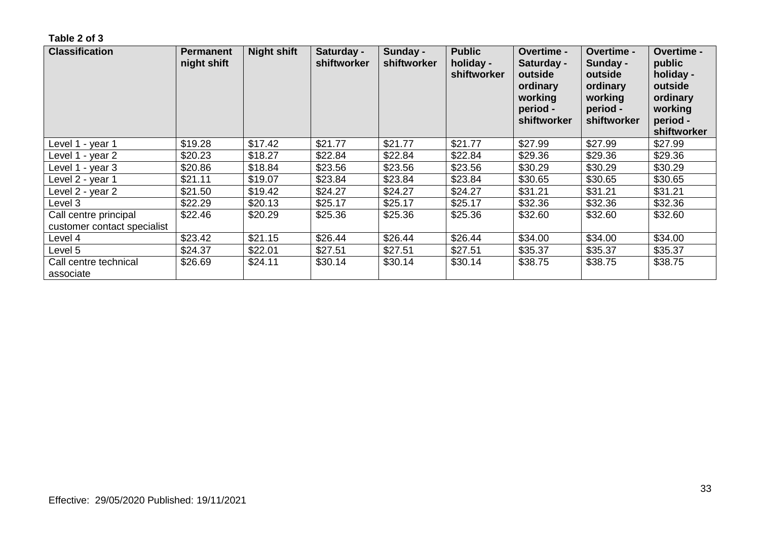| <b>Classification</b>                                | <b>Permanent</b><br>night shift | <b>Night shift</b> | Saturday -<br>shiftworker | Sunday -<br>shiftworker | <b>Public</b><br>holiday -<br>shiftworker | <b>Overtime -</b><br>Saturday -<br>outside<br>ordinary<br>working<br>period -<br>shiftworker | <b>Overtime -</b><br>Sunday -<br>outside<br>ordinary<br>working<br>period -<br>shiftworker | <b>Overtime -</b><br>public<br>holiday -<br>outside<br>ordinary<br>working<br>period -<br>shiftworker |
|------------------------------------------------------|---------------------------------|--------------------|---------------------------|-------------------------|-------------------------------------------|----------------------------------------------------------------------------------------------|--------------------------------------------------------------------------------------------|-------------------------------------------------------------------------------------------------------|
| Level 1 - year 1                                     | \$19.28                         | \$17.42            | \$21.77                   | \$21.77                 | \$21.77                                   | \$27.99                                                                                      | \$27.99                                                                                    | \$27.99                                                                                               |
| Level 1 - year 2                                     | \$20.23                         | \$18.27            | \$22.84                   | \$22.84                 | \$22.84                                   | \$29.36                                                                                      | \$29.36                                                                                    | \$29.36                                                                                               |
| Level 1 - year 3                                     | \$20.86                         | \$18.84            | \$23.56                   | \$23.56                 | \$23.56                                   | \$30.29                                                                                      | \$30.29                                                                                    | \$30.29                                                                                               |
| Level 2 - year 1                                     | \$21.11                         | \$19.07            | \$23.84                   | \$23.84                 | \$23.84                                   | \$30.65                                                                                      | \$30.65                                                                                    | \$30.65                                                                                               |
| Level 2 - year 2                                     | \$21.50                         | \$19.42            | \$24.27                   | \$24.27                 | \$24.27                                   | \$31.21                                                                                      | \$31.21                                                                                    | \$31.21                                                                                               |
| Level 3                                              | \$22.29                         | \$20.13            | \$25.17                   | \$25.17                 | \$25.17                                   | \$32.36                                                                                      | \$32.36                                                                                    | \$32.36                                                                                               |
| Call centre principal<br>customer contact specialist | \$22.46                         | \$20.29            | \$25.36                   | \$25.36                 | \$25.36                                   | \$32.60                                                                                      | \$32.60                                                                                    | \$32.60                                                                                               |
| Level 4                                              | \$23.42                         | \$21.15            | \$26.44                   | \$26.44                 | \$26.44                                   | \$34.00                                                                                      | \$34.00                                                                                    | \$34.00                                                                                               |
| Level 5                                              | \$24.37                         | \$22.01            | \$27.51                   | \$27.51                 | \$27.51                                   | \$35.37                                                                                      | \$35.37                                                                                    | \$35.37                                                                                               |
| Call centre technical<br>associate                   | \$26.69                         | \$24.11            | \$30.14                   | \$30.14                 | \$30.14                                   | \$38.75                                                                                      | \$38.75                                                                                    | \$38.75                                                                                               |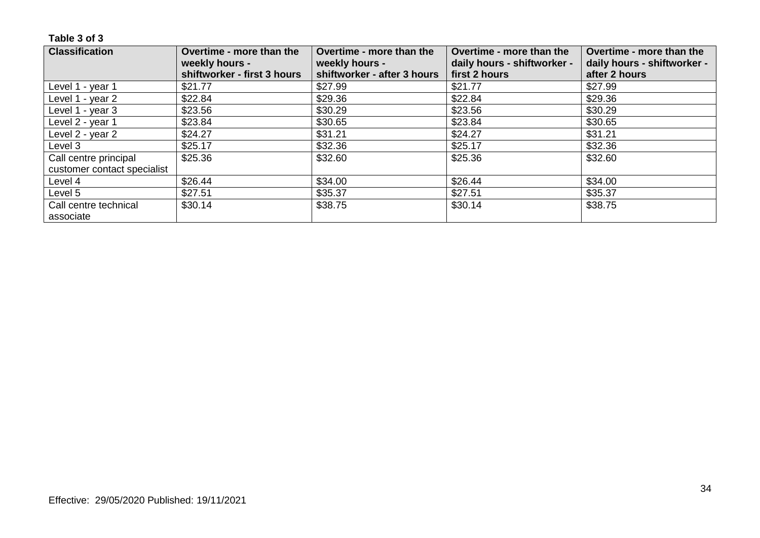| <b>Classification</b>       | Overtime - more than the<br>weekly hours -<br>shiftworker - first 3 hours | Overtime - more than the<br>weekly hours -<br>shiftworker - after 3 hours | Overtime - more than the<br>daily hours - shiftworker -<br>first 2 hours | Overtime - more than the<br>daily hours - shiftworker -<br>after 2 hours |
|-----------------------------|---------------------------------------------------------------------------|---------------------------------------------------------------------------|--------------------------------------------------------------------------|--------------------------------------------------------------------------|
|                             |                                                                           |                                                                           |                                                                          |                                                                          |
| Level 1 - year 1            | \$21.77                                                                   | \$27.99                                                                   | \$21.77                                                                  | \$27.99                                                                  |
| Level 1 - year 2            | \$22.84                                                                   | \$29.36                                                                   | \$22.84                                                                  | \$29.36                                                                  |
| Level 1 - year 3            | \$23.56                                                                   | \$30.29                                                                   | \$23.56                                                                  | \$30.29                                                                  |
| Level 2 - year 1            | \$23.84                                                                   | \$30.65                                                                   | \$23.84                                                                  | \$30.65                                                                  |
| Level 2 - year 2            | \$24.27                                                                   | \$31.21                                                                   | \$24.27                                                                  | \$31.21                                                                  |
| Level 3                     | \$25.17                                                                   | \$32.36                                                                   | \$25.17                                                                  | \$32.36                                                                  |
| Call centre principal       | \$25.36                                                                   | \$32.60                                                                   | \$25.36                                                                  | \$32.60                                                                  |
| customer contact specialist |                                                                           |                                                                           |                                                                          |                                                                          |
| Level 4                     | \$26.44                                                                   | \$34.00                                                                   | \$26.44                                                                  | \$34.00                                                                  |
| Level 5                     | \$27.51                                                                   | \$35.37                                                                   | \$27.51                                                                  | \$35.37                                                                  |
| Call centre technical       | \$30.14                                                                   | \$38.75                                                                   | \$30.14                                                                  | \$38.75                                                                  |
| associate                   |                                                                           |                                                                           |                                                                          |                                                                          |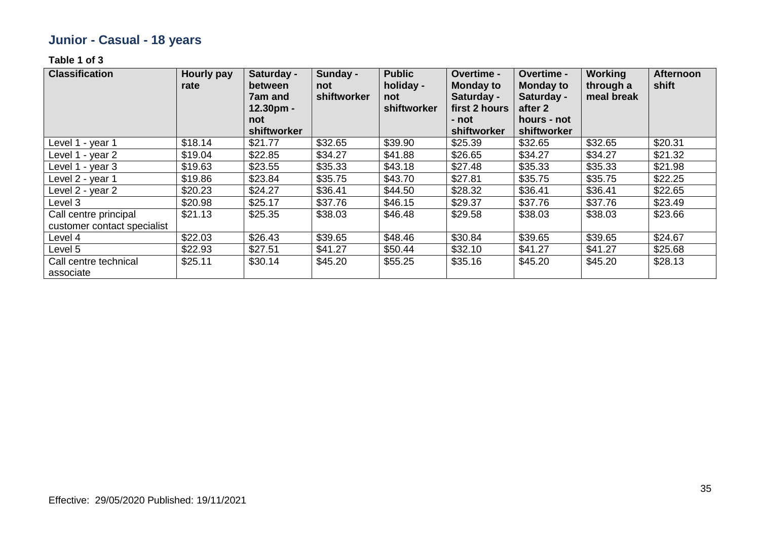# **Junior - Casual - 18 years**

| <b>Classification</b>                                | <b>Hourly pay</b><br>rate | Saturday -<br>between<br><b>7am and</b><br>12.30pm -<br>not<br>shiftworker | Sunday -<br>not<br>shiftworker | <b>Public</b><br>holiday -<br>not<br>shiftworker | Overtime -<br><b>Monday to</b><br>Saturday -<br>first 2 hours<br>- not<br>shiftworker | Overtime -<br><b>Monday to</b><br>Saturday -<br>after 2<br>hours - not<br>shiftworker | <b>Working</b><br>through a<br>meal break | <b>Afternoon</b><br>shift |
|------------------------------------------------------|---------------------------|----------------------------------------------------------------------------|--------------------------------|--------------------------------------------------|---------------------------------------------------------------------------------------|---------------------------------------------------------------------------------------|-------------------------------------------|---------------------------|
| Level 1 - year 1                                     | \$18.14                   | \$21.77                                                                    | \$32.65                        | \$39.90                                          | \$25.39                                                                               | \$32.65                                                                               | \$32.65                                   | \$20.31                   |
| Level 1 - year 2                                     | \$19.04                   | \$22.85                                                                    | \$34.27                        | \$41.88                                          | \$26.65                                                                               | \$34.27                                                                               | \$34.27                                   | \$21.32                   |
| Level 1 - year 3                                     | \$19.63                   | \$23.55                                                                    | \$35.33                        | \$43.18                                          | \$27.48                                                                               | \$35.33                                                                               | \$35.33                                   | \$21.98                   |
| Level 2 - year 1                                     | \$19.86                   | \$23.84                                                                    | \$35.75                        | \$43.70                                          | \$27.81                                                                               | \$35.75                                                                               | \$35.75                                   | \$22.25                   |
| Level 2 - year 2                                     | \$20.23                   | \$24.27                                                                    | \$36.41                        | \$44.50                                          | \$28.32                                                                               | \$36.41                                                                               | \$36.41                                   | \$22.65                   |
| Level 3                                              | \$20.98                   | \$25.17                                                                    | \$37.76                        | \$46.15                                          | \$29.37                                                                               | \$37.76                                                                               | \$37.76                                   | \$23.49                   |
| Call centre principal<br>customer contact specialist | \$21.13                   | \$25.35                                                                    | \$38.03                        | \$46.48                                          | \$29.58                                                                               | \$38.03                                                                               | \$38.03                                   | \$23.66                   |
| Level 4                                              | \$22.03                   | \$26.43                                                                    | \$39.65                        | \$48.46                                          | \$30.84                                                                               | \$39.65                                                                               | \$39.65                                   | \$24.67                   |
| Level 5                                              | \$22.93                   | \$27.51                                                                    | \$41.27                        | \$50.44                                          | \$32.10                                                                               | \$41.27                                                                               | \$41.27                                   | \$25.68                   |
| Call centre technical<br>associate                   | \$25.11                   | \$30.14                                                                    | \$45.20                        | \$55.25                                          | \$35.16                                                                               | \$45.20                                                                               | \$45.20                                   | \$28.13                   |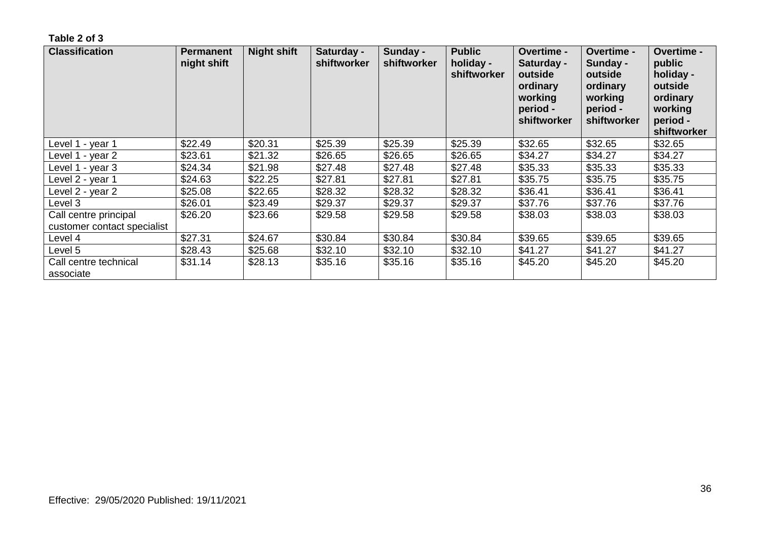| <b>Classification</b>                                | <b>Permanent</b><br>night shift | <b>Night shift</b> | Saturday -<br>shiftworker | Sunday -<br>shiftworker | <b>Public</b><br>holiday -<br>shiftworker | <b>Overtime -</b><br>Saturday -<br>outside<br>ordinary<br>working<br>period -<br>shiftworker | <b>Overtime -</b><br>Sunday -<br>outside<br>ordinary<br>working<br>period -<br>shiftworker | <b>Overtime -</b><br>public<br>holiday -<br>outside<br>ordinary<br>working<br>period -<br>shiftworker |
|------------------------------------------------------|---------------------------------|--------------------|---------------------------|-------------------------|-------------------------------------------|----------------------------------------------------------------------------------------------|--------------------------------------------------------------------------------------------|-------------------------------------------------------------------------------------------------------|
| Level 1 - year 1                                     | \$22.49                         | \$20.31            | \$25.39                   | \$25.39                 | \$25.39                                   | \$32.65                                                                                      | \$32.65                                                                                    | \$32.65                                                                                               |
| Level 1 - year 2                                     | \$23.61                         | \$21.32            | \$26.65                   | \$26.65                 | \$26.65                                   | \$34.27                                                                                      | \$34.27                                                                                    | \$34.27                                                                                               |
| Level 1 - year 3                                     | \$24.34                         | \$21.98            | \$27.48                   | \$27.48                 | \$27.48                                   | \$35.33                                                                                      | \$35.33                                                                                    | \$35.33                                                                                               |
| Level 2 - year 1                                     | \$24.63                         | \$22.25            | \$27.81                   | \$27.81                 | \$27.81                                   | \$35.75                                                                                      | \$35.75                                                                                    | \$35.75                                                                                               |
| Level 2 - year 2                                     | \$25.08                         | \$22.65            | \$28.32                   | \$28.32                 | \$28.32                                   | \$36.41                                                                                      | \$36.41                                                                                    | \$36.41                                                                                               |
| Level 3                                              | \$26.01                         | \$23.49            | \$29.37                   | \$29.37                 | \$29.37                                   | \$37.76                                                                                      | \$37.76                                                                                    | \$37.76                                                                                               |
| Call centre principal<br>customer contact specialist | \$26.20                         | \$23.66            | \$29.58                   | \$29.58                 | \$29.58                                   | \$38.03                                                                                      | \$38.03                                                                                    | \$38.03                                                                                               |
| Level 4                                              | \$27.31                         | \$24.67            | \$30.84                   | \$30.84                 | \$30.84                                   | \$39.65                                                                                      | \$39.65                                                                                    | \$39.65                                                                                               |
| Level 5                                              | \$28.43                         | \$25.68            | \$32.10                   | \$32.10                 | \$32.10                                   | \$41.27                                                                                      | \$41.27                                                                                    | \$41.27                                                                                               |
| Call centre technical<br>associate                   | \$31.14                         | \$28.13            | \$35.16                   | \$35.16                 | \$35.16                                   | \$45.20                                                                                      | \$45.20                                                                                    | \$45.20                                                                                               |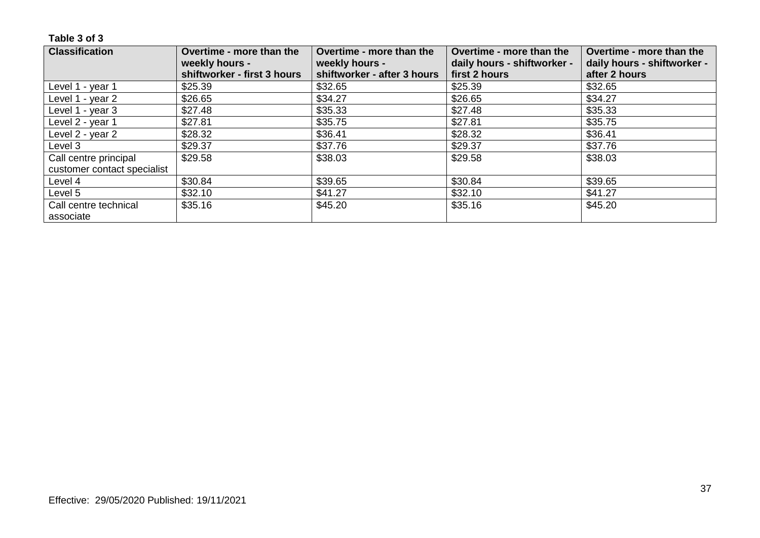| <b>Classification</b>       | Overtime - more than the<br>weekly hours -<br>shiftworker - first 3 hours | Overtime - more than the<br>weekly hours -<br>shiftworker - after 3 hours | Overtime - more than the<br>daily hours - shiftworker -<br>first 2 hours | Overtime - more than the<br>daily hours - shiftworker -<br>after 2 hours |
|-----------------------------|---------------------------------------------------------------------------|---------------------------------------------------------------------------|--------------------------------------------------------------------------|--------------------------------------------------------------------------|
| Level 1 - year 1            | \$25.39                                                                   | \$32.65                                                                   | \$25.39                                                                  | \$32.65                                                                  |
| Level 1 - year 2            | \$26.65                                                                   | \$34.27                                                                   | \$26.65                                                                  | \$34.27                                                                  |
| Level 1 - year 3            | \$27.48                                                                   | \$35.33                                                                   | \$27.48                                                                  | \$35.33                                                                  |
| Level 2 - year 1            | \$27.81                                                                   | \$35.75                                                                   | \$27.81                                                                  | \$35.75                                                                  |
| Level 2 - year 2            | \$28.32                                                                   | \$36.41                                                                   | \$28.32                                                                  | \$36.41                                                                  |
| Level 3                     | \$29.37                                                                   | \$37.76                                                                   | \$29.37                                                                  | \$37.76                                                                  |
| Call centre principal       | \$29.58                                                                   | \$38.03                                                                   | \$29.58                                                                  | \$38.03                                                                  |
| customer contact specialist |                                                                           |                                                                           |                                                                          |                                                                          |
| Level 4                     | \$30.84                                                                   | \$39.65                                                                   | \$30.84                                                                  | \$39.65                                                                  |
| Level 5                     | \$32.10                                                                   | \$41.27                                                                   | \$32.10                                                                  | \$41.27                                                                  |
| Call centre technical       | \$35.16                                                                   | \$45.20                                                                   | \$35.16                                                                  | \$45.20                                                                  |
| associate                   |                                                                           |                                                                           |                                                                          |                                                                          |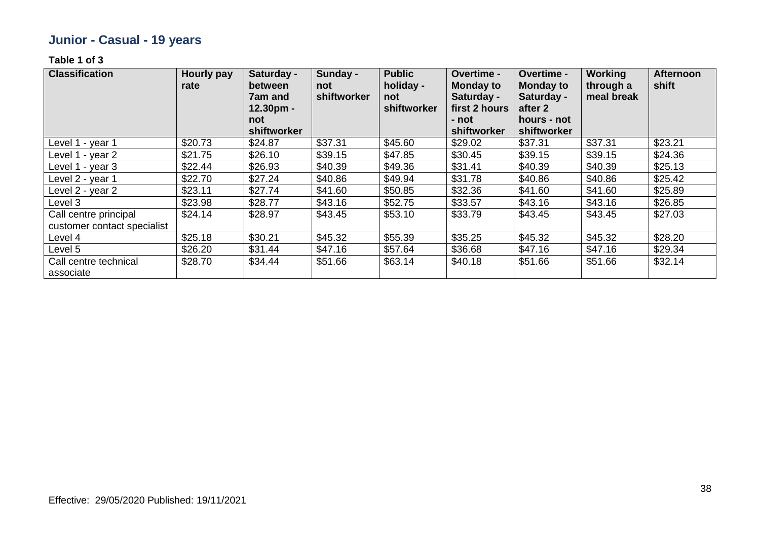# **Junior - Casual - 19 years**

| <b>Classification</b>                                | <b>Hourly pay</b><br>rate | Saturday -<br>between<br><b>7am and</b><br>12.30pm -<br>not | Sunday -<br>not<br>shiftworker | <b>Public</b><br>holiday -<br>not<br>shiftworker | Overtime -<br><b>Monday to</b><br>Saturday -<br>first 2 hours<br>- not | Overtime -<br><b>Monday to</b><br>Saturday -<br>after 2<br>hours - not | <b>Working</b><br>through a<br>meal break | <b>Afternoon</b><br>shift |
|------------------------------------------------------|---------------------------|-------------------------------------------------------------|--------------------------------|--------------------------------------------------|------------------------------------------------------------------------|------------------------------------------------------------------------|-------------------------------------------|---------------------------|
|                                                      | \$20.73                   | shiftworker                                                 | \$37.31                        | \$45.60                                          | shiftworker<br>\$29.02                                                 | shiftworker<br>\$37.31                                                 | \$37.31                                   |                           |
| Level 1 - year 1                                     |                           | \$24.87                                                     |                                |                                                  |                                                                        |                                                                        |                                           | \$23.21                   |
| Level 1 - year 2                                     | \$21.75                   | \$26.10                                                     | \$39.15                        | \$47.85                                          | \$30.45                                                                | \$39.15                                                                | \$39.15                                   | \$24.36                   |
| Level 1 - year 3                                     | \$22.44                   | \$26.93                                                     | \$40.39                        | \$49.36                                          | \$31.41                                                                | \$40.39                                                                | \$40.39                                   | \$25.13                   |
| Level 2 - year 1                                     | \$22.70                   | \$27.24                                                     | \$40.86                        | \$49.94                                          | \$31.78                                                                | \$40.86                                                                | \$40.86                                   | \$25.42                   |
| Level 2 - year 2                                     | \$23.11                   | \$27.74                                                     | \$41.60                        | \$50.85                                          | \$32.36                                                                | \$41.60                                                                | \$41.60                                   | \$25.89                   |
| Level 3                                              | \$23.98                   | \$28.77                                                     | \$43.16                        | \$52.75                                          | \$33.57                                                                | \$43.16                                                                | \$43.16                                   | \$26.85                   |
| Call centre principal<br>customer contact specialist | \$24.14                   | \$28.97                                                     | \$43.45                        | \$53.10                                          | \$33.79                                                                | \$43.45                                                                | \$43.45                                   | \$27.03                   |
| Level 4                                              | \$25.18                   | \$30.21                                                     | \$45.32                        | \$55.39                                          | \$35.25                                                                | \$45.32                                                                | \$45.32                                   | \$28.20                   |
| Level 5                                              | \$26.20                   | \$31.44                                                     | \$47.16                        | \$57.64                                          | \$36.68                                                                | \$47.16                                                                | \$47.16                                   | \$29.34                   |
| Call centre technical<br>associate                   | \$28.70                   | \$34.44                                                     | \$51.66                        | \$63.14                                          | \$40.18                                                                | \$51.66                                                                | \$51.66                                   | \$32.14                   |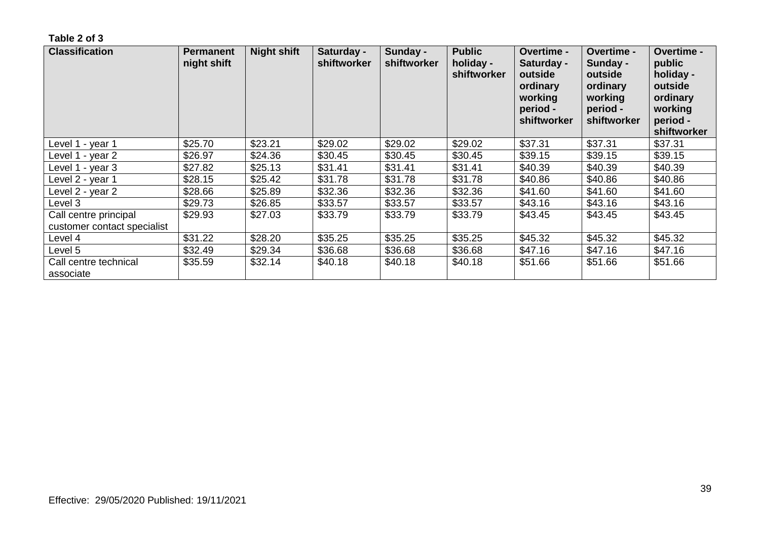| <b>Classification</b>                                | <b>Permanent</b><br>night shift | <b>Night shift</b> | Saturday -<br>shiftworker | Sunday -<br>shiftworker | <b>Public</b><br>holiday -<br>shiftworker | <b>Overtime -</b><br>Saturday -<br>outside<br>ordinary<br>working<br>period -<br>shiftworker | <b>Overtime -</b><br>Sunday -<br>outside<br>ordinary<br>working<br>period -<br>shiftworker | <b>Overtime -</b><br>public<br>holiday -<br>outside<br>ordinary<br>working<br>period -<br>shiftworker |
|------------------------------------------------------|---------------------------------|--------------------|---------------------------|-------------------------|-------------------------------------------|----------------------------------------------------------------------------------------------|--------------------------------------------------------------------------------------------|-------------------------------------------------------------------------------------------------------|
| Level 1 - year 1                                     | \$25.70                         | \$23.21            | \$29.02                   | \$29.02                 | \$29.02                                   | \$37.31                                                                                      | \$37.31                                                                                    | \$37.31                                                                                               |
| Level 1 - year 2                                     | \$26.97                         | \$24.36            | \$30.45                   | \$30.45                 | \$30.45                                   | \$39.15                                                                                      | \$39.15                                                                                    | \$39.15                                                                                               |
| Level 1 - year 3                                     | \$27.82                         | \$25.13            | \$31.41                   | \$31.41                 | \$31.41                                   | \$40.39                                                                                      | \$40.39                                                                                    | \$40.39                                                                                               |
| Level 2 - year 1                                     | \$28.15                         | \$25.42            | \$31.78                   | \$31.78                 | \$31.78                                   | \$40.86                                                                                      | \$40.86                                                                                    | \$40.86                                                                                               |
| Level 2 - year 2                                     | \$28.66                         | \$25.89            | \$32.36                   | \$32.36                 | \$32.36                                   | \$41.60                                                                                      | \$41.60                                                                                    | \$41.60                                                                                               |
| Level 3                                              | \$29.73                         | \$26.85            | \$33.57                   | \$33.57                 | \$33.57                                   | \$43.16                                                                                      | \$43.16                                                                                    | \$43.16                                                                                               |
| Call centre principal<br>customer contact specialist | \$29.93                         | \$27.03            | \$33.79                   | \$33.79                 | \$33.79                                   | \$43.45                                                                                      | \$43.45                                                                                    | \$43.45                                                                                               |
| Level 4                                              | \$31.22                         | \$28.20            | \$35.25                   | \$35.25                 | \$35.25                                   | \$45.32                                                                                      | \$45.32                                                                                    | \$45.32                                                                                               |
| Level 5                                              | \$32.49                         | \$29.34            | \$36.68                   | \$36.68                 | \$36.68                                   | \$47.16                                                                                      | \$47.16                                                                                    | \$47.16                                                                                               |
| Call centre technical<br>associate                   | \$35.59                         | \$32.14            | \$40.18                   | \$40.18                 | \$40.18                                   | \$51.66                                                                                      | \$51.66                                                                                    | \$51.66                                                                                               |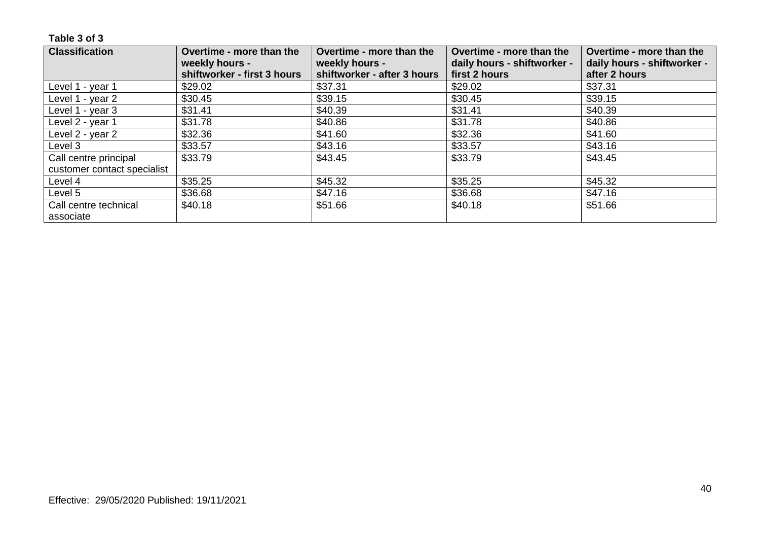| <b>Classification</b>       | Overtime - more than the<br>weekly hours - | Overtime - more than the<br>weekly hours - | Overtime - more than the<br>daily hours - shiftworker - | Overtime - more than the<br>daily hours - shiftworker - |
|-----------------------------|--------------------------------------------|--------------------------------------------|---------------------------------------------------------|---------------------------------------------------------|
|                             | shiftworker - first 3 hours                | shiftworker - after 3 hours                | first 2 hours                                           | after 2 hours                                           |
| Level 1 - year 1            | \$29.02                                    | \$37.31                                    | \$29.02                                                 | \$37.31                                                 |
| Level 1 - year 2            | \$30.45                                    | \$39.15                                    | \$30.45                                                 | \$39.15                                                 |
| Level 1 - year 3            | \$31.41                                    | \$40.39                                    | \$31.41                                                 | \$40.39                                                 |
| Level 2 - year 1            | \$31.78                                    | \$40.86                                    | \$31.78                                                 | \$40.86                                                 |
| Level 2 - year 2            | \$32.36                                    | \$41.60                                    | \$32.36                                                 | \$41.60                                                 |
| Level 3                     | \$33.57                                    | \$43.16                                    | \$33.57                                                 | \$43.16                                                 |
| Call centre principal       | \$33.79                                    | \$43.45                                    | \$33.79                                                 | \$43.45                                                 |
| customer contact specialist |                                            |                                            |                                                         |                                                         |
| Level 4                     | \$35.25                                    | \$45.32                                    | \$35.25                                                 | \$45.32                                                 |
| Level 5                     | \$36.68                                    | \$47.16                                    | \$36.68                                                 | \$47.16                                                 |
| Call centre technical       | \$40.18                                    | \$51.66                                    | \$40.18                                                 | \$51.66                                                 |
| associate                   |                                            |                                            |                                                         |                                                         |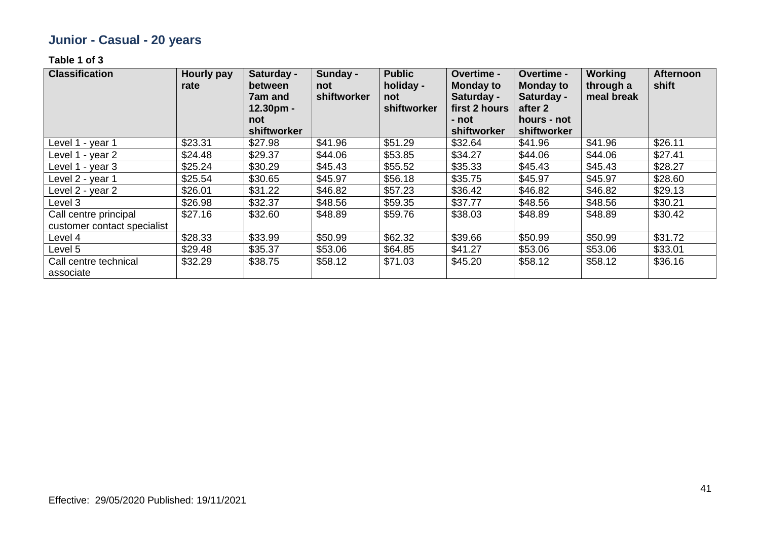# **Junior - Casual - 20 years**

| <b>Classification</b>                                | <b>Hourly pay</b><br>rate | Saturday -<br>between<br>7am and<br>$12.30pm -$<br>not | Sunday -<br>not<br>shiftworker | <b>Public</b><br>holiday -<br>not<br>shiftworker | Overtime -<br><b>Monday to</b><br>Saturday -<br>first 2 hours<br>- not | Overtime -<br><b>Monday to</b><br>Saturday -<br>after 2<br>hours - not | <b>Working</b><br>through a<br>meal break | <b>Afternoon</b><br>shift |
|------------------------------------------------------|---------------------------|--------------------------------------------------------|--------------------------------|--------------------------------------------------|------------------------------------------------------------------------|------------------------------------------------------------------------|-------------------------------------------|---------------------------|
|                                                      |                           | shiftworker                                            |                                |                                                  | shiftworker                                                            | shiftworker                                                            |                                           |                           |
| Level 1 - year 1                                     | \$23.31                   | \$27.98                                                | \$41.96                        | \$51.29                                          | \$32.64                                                                | \$41.96                                                                | \$41.96                                   | \$26.11                   |
| Level 1 - year 2                                     | \$24.48                   | \$29.37                                                | \$44.06                        | \$53.85                                          | \$34.27                                                                | \$44.06                                                                | \$44.06                                   | \$27.41                   |
| Level 1 - year 3                                     | \$25.24                   | \$30.29                                                | \$45.43                        | \$55.52                                          | \$35.33                                                                | \$45.43                                                                | \$45.43                                   | \$28.27                   |
| Level 2 - year 1                                     | \$25.54                   | \$30.65                                                | \$45.97                        | \$56.18                                          | \$35.75                                                                | \$45.97                                                                | \$45.97                                   | \$28.60                   |
| Level 2 - year 2                                     | \$26.01                   | \$31.22                                                | \$46.82                        | \$57.23                                          | \$36.42                                                                | \$46.82                                                                | \$46.82                                   | \$29.13                   |
| Level 3                                              | \$26.98                   | \$32.37                                                | \$48.56                        | \$59.35                                          | \$37.77                                                                | \$48.56                                                                | \$48.56                                   | \$30.21                   |
| Call centre principal<br>customer contact specialist | \$27.16                   | \$32.60                                                | \$48.89                        | \$59.76                                          | \$38.03                                                                | \$48.89                                                                | \$48.89                                   | \$30.42                   |
| Level 4                                              | \$28.33                   | \$33.99                                                | \$50.99                        | \$62.32                                          | \$39.66                                                                | \$50.99                                                                | \$50.99                                   | \$31.72                   |
| Level 5                                              | \$29.48                   | \$35.37                                                | \$53.06                        | \$64.85                                          | \$41.27                                                                | \$53.06                                                                | \$53.06                                   | \$33.01                   |
| Call centre technical<br>associate                   | \$32.29                   | \$38.75                                                | \$58.12                        | \$71.03                                          | \$45.20                                                                | \$58.12                                                                | \$58.12                                   | \$36.16                   |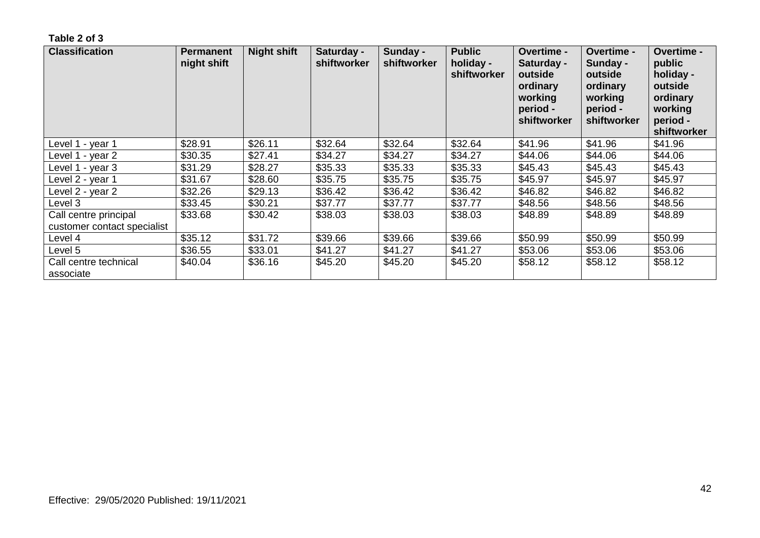| <b>Classification</b>                                | <b>Permanent</b><br>night shift | <b>Night shift</b> | Saturday -<br>shiftworker | Sunday -<br>shiftworker | <b>Public</b><br>holiday -<br>shiftworker | <b>Overtime -</b><br>Saturday -<br>outside<br>ordinary<br>working<br>period -<br>shiftworker | <b>Overtime -</b><br>Sunday -<br>outside<br>ordinary<br>working<br>period -<br>shiftworker | Overtime -<br>public<br>holiday -<br>outside<br>ordinary<br>working<br>period -<br>shiftworker |
|------------------------------------------------------|---------------------------------|--------------------|---------------------------|-------------------------|-------------------------------------------|----------------------------------------------------------------------------------------------|--------------------------------------------------------------------------------------------|------------------------------------------------------------------------------------------------|
| Level 1 - year 1                                     | \$28.91                         | \$26.11            | \$32.64                   | \$32.64                 | \$32.64                                   | \$41.96                                                                                      | \$41.96                                                                                    | \$41.96                                                                                        |
| Level 1 - year 2                                     | \$30.35                         | \$27.41            | \$34.27                   | \$34.27                 | \$34.27                                   | \$44.06                                                                                      | \$44.06                                                                                    | \$44.06                                                                                        |
| Level 1 - year 3                                     | \$31.29                         | \$28.27            | \$35.33                   | \$35.33                 | \$35.33                                   | \$45.43                                                                                      | \$45.43                                                                                    | \$45.43                                                                                        |
| Level 2 - year 1                                     | \$31.67                         | \$28.60            | \$35.75                   | \$35.75                 | \$35.75                                   | \$45.97                                                                                      | \$45.97                                                                                    | \$45.97                                                                                        |
| Level 2 - year 2                                     | \$32.26                         | \$29.13            | \$36.42                   | \$36.42                 | \$36.42                                   | \$46.82                                                                                      | \$46.82                                                                                    | \$46.82                                                                                        |
| Level 3                                              | \$33.45                         | \$30.21            | \$37.77                   | \$37.77                 | \$37.77                                   | \$48.56                                                                                      | \$48.56                                                                                    | \$48.56                                                                                        |
| Call centre principal<br>customer contact specialist | \$33.68                         | \$30.42            | \$38.03                   | \$38.03                 | \$38.03                                   | \$48.89                                                                                      | \$48.89                                                                                    | \$48.89                                                                                        |
| Level 4                                              | \$35.12                         | \$31.72            | \$39.66                   | \$39.66                 | \$39.66                                   | \$50.99                                                                                      | \$50.99                                                                                    | \$50.99                                                                                        |
| Level 5                                              | \$36.55                         | \$33.01            | \$41.27                   | \$41.27                 | \$41.27                                   | \$53.06                                                                                      | \$53.06                                                                                    | \$53.06                                                                                        |
| Call centre technical<br>associate                   | \$40.04                         | \$36.16            | \$45.20                   | \$45.20                 | \$45.20                                   | \$58.12                                                                                      | \$58.12                                                                                    | \$58.12                                                                                        |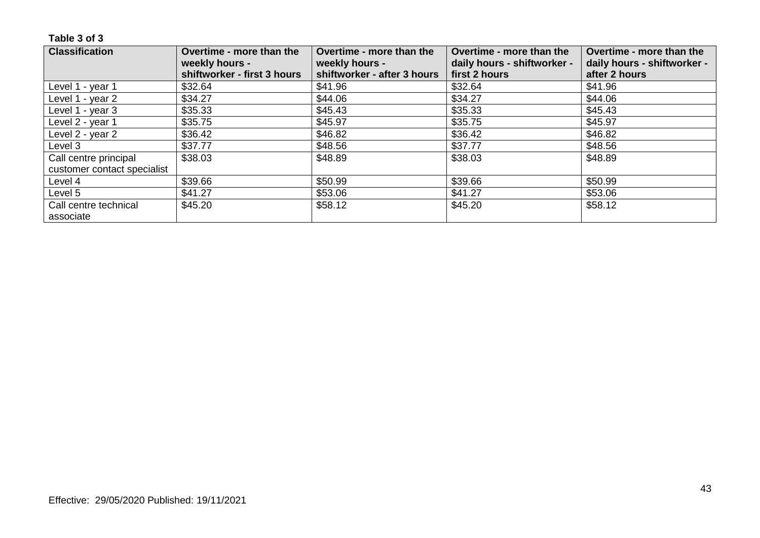| <b>Classification</b>       | Overtime - more than the<br>weekly hours - | Overtime - more than the<br>weekly hours - | Overtime - more than the<br>daily hours - shiftworker - | Overtime - more than the<br>daily hours - shiftworker - |
|-----------------------------|--------------------------------------------|--------------------------------------------|---------------------------------------------------------|---------------------------------------------------------|
|                             | shiftworker - first 3 hours                | shiftworker - after 3 hours                | first 2 hours                                           | after 2 hours                                           |
| Level 1 - year 1            | \$32.64                                    | \$41.96                                    | \$32.64                                                 | \$41.96                                                 |
| Level 1 - year 2            | \$34.27                                    | \$44.06                                    | \$34.27                                                 | \$44.06                                                 |
| Level 1 - year 3            | \$35.33                                    | \$45.43                                    | \$35.33                                                 | \$45.43                                                 |
| Level 2 - year 1            | \$35.75                                    | \$45.97                                    | \$35.75                                                 | \$45.97                                                 |
| Level 2 - year 2            | \$36.42                                    | \$46.82                                    | \$36.42                                                 | \$46.82                                                 |
| Level 3                     | \$37.77                                    | \$48.56                                    | \$37.77                                                 | \$48.56                                                 |
| Call centre principal       | \$38.03                                    | \$48.89                                    | \$38.03                                                 | \$48.89                                                 |
| customer contact specialist |                                            |                                            |                                                         |                                                         |
| Level 4                     | \$39.66                                    | \$50.99                                    | \$39.66                                                 | \$50.99                                                 |
| Level 5                     | \$41.27                                    | \$53.06                                    | \$41.27                                                 | \$53.06                                                 |
| Call centre technical       | \$45.20                                    | \$58.12                                    | \$45.20                                                 | \$58.12                                                 |
| associate                   |                                            |                                            |                                                         |                                                         |